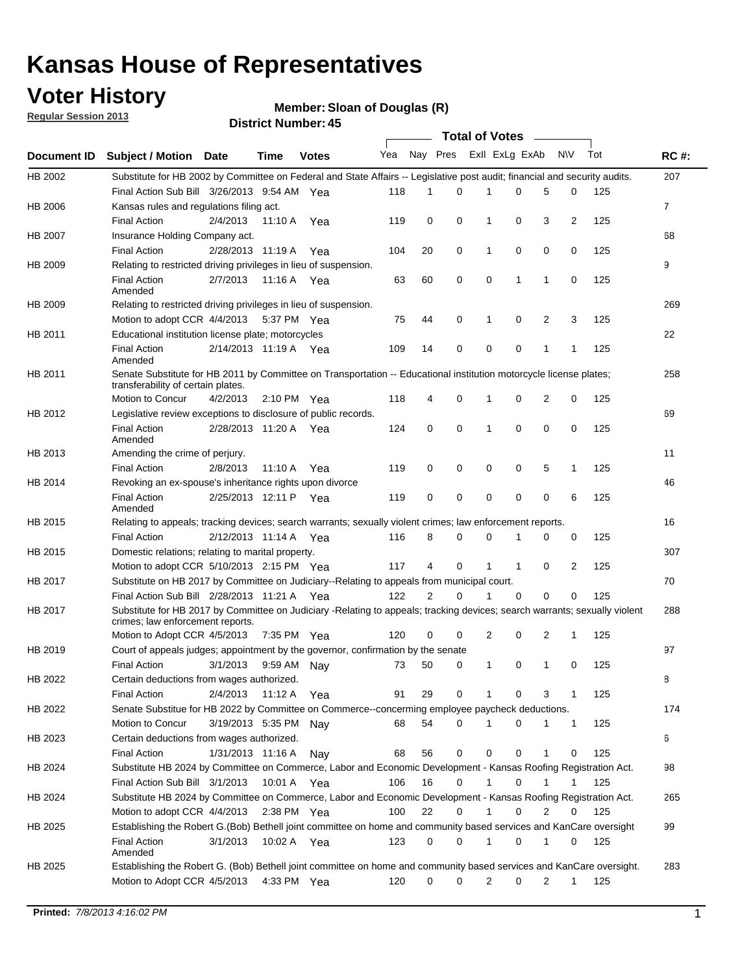### **Voter History**

**Member: Sloan of Douglas (R)** 

**Regular Session 2013**

|                    |                                                                                                                            |                       | רי וסעווווטנו ועווווטכו |              |              |    | Total of Votes _ |                |              |                |                |     |                |
|--------------------|----------------------------------------------------------------------------------------------------------------------------|-----------------------|-------------------------|--------------|--------------|----|------------------|----------------|--------------|----------------|----------------|-----|----------------|
| <b>Document ID</b> | <b>Subject / Motion Date</b>                                                                                               |                       | Time                    | <b>Votes</b> | Yea Nay Pres |    |                  | Exll ExLg ExAb |              |                | N\V            | Tot | <b>RC#:</b>    |
| HB 2002            | Substitute for HB 2002 by Committee on Federal and State Affairs -- Legislative post audit; financial and security audits. |                       |                         |              |              |    |                  |                |              |                |                |     | 207            |
|                    | Final Action Sub Bill 3/26/2013 9:54 AM Yea                                                                                |                       |                         |              | 118          | 1  | $\Omega$         |                | 0            | 5              | 0              | 125 |                |
| HB 2006            | Kansas rules and regulations filing act.                                                                                   |                       |                         |              |              |    |                  |                |              |                |                |     | $\overline{7}$ |
|                    | <b>Final Action</b>                                                                                                        | 2/4/2013              | 11:10 A Yea             |              | 119          | 0  | 0                | 1              | 0            | 3              | $\overline{2}$ | 125 |                |
| HB 2007            | Insurance Holding Company act.                                                                                             |                       |                         |              |              |    |                  |                |              |                |                |     | 68             |
|                    | <b>Final Action</b>                                                                                                        | 2/28/2013 11:19 A     |                         | Yea          | 104          | 20 | 0                | 1              | 0            | 0              | 0              | 125 |                |
| HB 2009            | Relating to restricted driving privileges in lieu of suspension.                                                           |                       |                         |              |              |    |                  |                |              |                |                |     | 9              |
|                    | <b>Final Action</b><br>Amended                                                                                             | 2/7/2013              | 11:16 A Yea             |              | 63           | 60 | 0                | 0              | 1            | 1              | 0              | 125 |                |
| HB 2009            | Relating to restricted driving privileges in lieu of suspension.                                                           |                       |                         |              |              |    |                  |                |              |                |                |     | 269            |
|                    | Motion to adopt CCR 4/4/2013                                                                                               |                       | 5:37 PM Yea             |              | 75           | 44 | 0                | 1              | 0            | 2              | 3              | 125 |                |
| HB 2011            | Educational institution license plate; motorcycles                                                                         |                       |                         |              |              |    |                  |                |              |                |                |     | 22             |
|                    | <b>Final Action</b><br>Amended                                                                                             | 2/14/2013 11:19 A Yea |                         |              | 109          | 14 | 0                | 0              | 0            | 1              | 1              | 125 |                |
| HB 2011            | Senate Substitute for HB 2011 by Committee on Transportation -- Educational institution motorcycle license plates;         |                       |                         |              |              |    |                  |                |              |                |                |     | 258            |
|                    | transferability of certain plates.<br>Motion to Concur                                                                     | 4/2/2013              | $2:10 \text{ PM}$ Yea   |              | 118          | 4  | 0                | $\mathbf 1$    | 0            | $\overline{2}$ | 0              | 125 |                |
| HB 2012            | Legislative review exceptions to disclosure of public records.                                                             |                       |                         |              |              |    |                  |                |              |                |                |     | 69             |
|                    | <b>Final Action</b>                                                                                                        | 2/28/2013 11:20 A Yea |                         |              | 124          | 0  | 0                | 1              | 0            | 0              | 0              | 125 |                |
|                    | Amended                                                                                                                    |                       |                         |              |              |    |                  |                |              |                |                |     |                |
| HB 2013            | Amending the crime of perjury.                                                                                             |                       |                         |              |              |    |                  |                |              |                |                |     | 11             |
|                    | <b>Final Action</b>                                                                                                        | 2/8/2013              | 11:10 A                 | Yea          | 119          | 0  | 0                | 0              | 0            | 5              | 1              | 125 |                |
| HB 2014            | Revoking an ex-spouse's inheritance rights upon divorce                                                                    |                       |                         |              |              |    |                  |                |              |                |                |     | 46             |
|                    | <b>Final Action</b><br>Amended                                                                                             | 2/25/2013 12:11 P     |                         | Yea          | 119          | 0  | $\mathbf 0$      | 0              | 0            | 0              | 6              | 125 |                |
| HB 2015            | Relating to appeals; tracking devices; search warrants; sexually violent crimes; law enforcement reports.                  |                       |                         |              |              |    |                  |                |              |                |                |     | 16             |
|                    | <b>Final Action</b>                                                                                                        | 2/12/2013 11:14 A     |                         | Yea          | 116          | 8  | 0                | 0              | 1            | 0              | 0              | 125 |                |
| HB 2015            | Domestic relations; relating to marital property.                                                                          |                       |                         |              |              |    |                  |                |              |                |                |     | 307            |
|                    | Motion to adopt CCR 5/10/2013 2:15 PM Yea                                                                                  |                       |                         |              | 117          | 4  | 0                | $\mathbf{1}$   | $\mathbf{1}$ | 0              | 2              | 125 |                |
| HB 2017            | Substitute on HB 2017 by Committee on Judiciary--Relating to appeals from municipal court.                                 |                       |                         |              |              |    |                  |                |              |                |                |     | 70             |
|                    | Final Action Sub Bill 2/28/2013 11:21 A Yea                                                                                |                       |                         |              | 122          | 2  | 0                | 1              | 0            | 0              | 0              | 125 |                |
| HB 2017            | Substitute for HB 2017 by Committee on Judiciary -Relating to appeals; tracking devices; search warrants; sexually violent |                       |                         |              |              |    |                  |                |              |                |                |     | 288            |
|                    | crimes; law enforcement reports.                                                                                           |                       |                         |              |              |    |                  |                |              |                |                |     |                |
|                    | Motion to Adopt CCR 4/5/2013                                                                                               |                       | 7:35 PM Yea             |              | 120          | 0  | 0                | 2              | 0            | 2              | 1              | 125 |                |
| HB 2019            | Court of appeals judges; appointment by the governor, confirmation by the senate                                           |                       |                         |              |              |    |                  |                |              |                |                |     | 97             |
|                    | Final Action                                                                                                               | 3/1/2013              | 9:59 AM Nay             |              | 73           | 50 | 0                | 1              | 0            | 1              | 0              | 125 |                |
| HB 2022            | Certain deductions from wages authorized.                                                                                  |                       |                         |              |              |    |                  |                |              |                |                |     | 8              |
|                    | <b>Final Action</b>                                                                                                        | 2/4/2013              | 11:12 A                 | Yea          | 91           | 29 | 0                |                | 0            | 3              | 1              | 125 |                |
| HB 2022            | Senate Substitue for HB 2022 by Committee on Commerce--concerming employee paycheck deductions.                            |                       |                         |              |              |    |                  |                |              |                |                |     | 174            |
|                    | Motion to Concur                                                                                                           | 3/19/2013 5:35 PM Nay |                         |              | 68           | 54 | 0                | 1              | 0            | 1              | $\mathbf{1}$   | 125 |                |
| HB 2023            | Certain deductions from wages authorized.                                                                                  |                       |                         |              |              |    |                  |                |              |                |                |     | 6              |
|                    | <b>Final Action</b>                                                                                                        | 1/31/2013 11:16 A     |                         | Nay          | 68           | 56 | 0                | 0              | 0            | 1              | 0              | 125 |                |
| HB 2024            | Substitute HB 2024 by Committee on Commerce, Labor and Economic Development - Kansas Roofing Registration Act.             |                       |                         |              |              |    |                  |                |              |                |                |     | 98             |
|                    | Final Action Sub Bill 3/1/2013                                                                                             |                       | 10:01 A Yea             |              | 106          | 16 | 0                | 1              | 0            | 1              | 1              | 125 |                |
| HB 2024            | Substitute HB 2024 by Committee on Commerce, Labor and Economic Development - Kansas Roofing Registration Act.             |                       |                         |              |              |    |                  |                |              |                |                |     | 265            |
|                    | Motion to adopt CCR 4/4/2013                                                                                               |                       | 2:38 PM Yea             |              | 100          | 22 | 0                | 1              | 0            | 2              | 0              | 125 |                |
| HB 2025            | Establishing the Robert G.(Bob) Bethell joint committee on home and community based services and KanCare oversight         |                       |                         |              |              |    |                  |                |              |                |                |     | 99             |
|                    | <b>Final Action</b><br>Amended                                                                                             | 3/1/2013              | 10:02 A Yea             |              | 123          | 0  | 0                | $\mathbf{1}$   | 0            | 1              | 0              | 125 |                |
| HB 2025            | Establishing the Robert G. (Bob) Bethell joint committee on home and community based services and KanCare oversight.       |                       |                         |              |              |    |                  |                |              |                |                |     | 283            |
|                    | Motion to Adopt CCR 4/5/2013                                                                                               |                       | 4:33 PM Yea             |              | 120          | 0  | 0                | 2              | 0            | 2              | $\mathbf{1}$   | 125 |                |
|                    |                                                                                                                            |                       |                         |              |              |    |                  |                |              |                |                |     |                |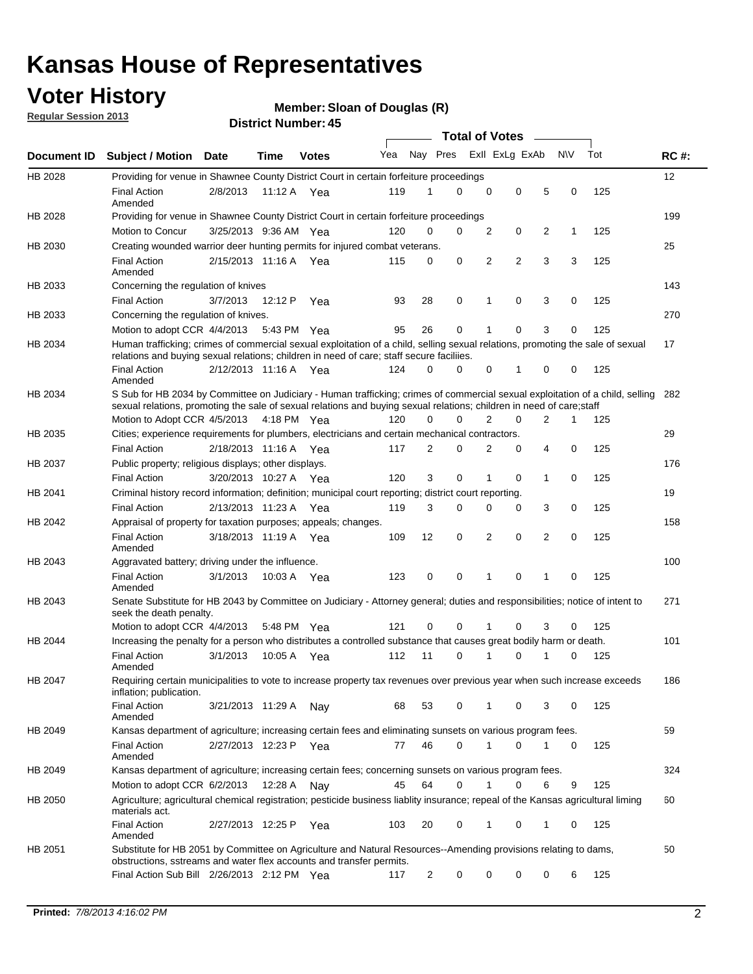### **Voter History**

**Member: Sloan of Douglas (R)** 

**Regular Session 2013**

|                    |                                                                                                                                                                                                                                                       |                       |         |              |     |                         | <b>Total of Votes</b> |                |   |                |           |     |             |
|--------------------|-------------------------------------------------------------------------------------------------------------------------------------------------------------------------------------------------------------------------------------------------------|-----------------------|---------|--------------|-----|-------------------------|-----------------------|----------------|---|----------------|-----------|-----|-------------|
| <b>Document ID</b> | <b>Subject / Motion Date</b>                                                                                                                                                                                                                          |                       | Time    | <b>Votes</b> | Yea | Nay Pres Exll ExLg ExAb |                       |                |   |                | <b>NV</b> | Tot | <b>RC#:</b> |
| HB 2028            | Providing for venue in Shawnee County District Court in certain forfeiture proceedings                                                                                                                                                                |                       |         |              |     |                         |                       |                |   |                |           |     | 12          |
|                    | <b>Final Action</b><br>Amended                                                                                                                                                                                                                        | 2/8/2013              | 11:12 A | Yea          | 119 | 1                       | 0                     | 0              | 0 | 5              | 0         | 125 |             |
| HB 2028            | Providing for venue in Shawnee County District Court in certain forfeiture proceedings                                                                                                                                                                |                       |         |              |     |                         |                       |                |   |                |           |     | 199         |
|                    | Motion to Concur                                                                                                                                                                                                                                      | 3/25/2013 9:36 AM Yea |         |              | 120 | 0                       | 0                     | 2              | 0 | 2              | 1         | 125 |             |
| HB 2030            | Creating wounded warrior deer hunting permits for injured combat veterans.                                                                                                                                                                            |                       |         |              |     |                         |                       |                |   |                |           |     | 25          |
|                    | <b>Final Action</b><br>Amended                                                                                                                                                                                                                        | 2/15/2013 11:16 A Yea |         |              | 115 | 0                       | 0                     | 2              | 2 | 3              | 3         | 125 |             |
| HB 2033            | Concerning the regulation of knives                                                                                                                                                                                                                   |                       |         |              |     |                         |                       |                |   |                |           |     | 143         |
|                    | <b>Final Action</b>                                                                                                                                                                                                                                   | 3/7/2013              | 12:12 P | Yea          | 93  | 28                      | 0                     | 1              | 0 | 3              | 0         | 125 |             |
| HB 2033            | Concerning the regulation of knives.                                                                                                                                                                                                                  |                       |         |              |     |                         |                       |                |   |                |           |     | 270         |
|                    | Motion to adopt CCR 4/4/2013                                                                                                                                                                                                                          |                       |         | 5:43 PM Yea  | 95  | 26                      | 0                     |                | 0 | 3              | 0         | 125 |             |
| HB 2034            | Human trafficking; crimes of commercial sexual exploitation of a child, selling sexual relations, promoting the sale of sexual<br>relations and buying sexual relations; children in need of care; staff secure faciliies.                            |                       |         |              |     |                         |                       |                |   |                |           |     | 17          |
|                    | <b>Final Action</b><br>Amended                                                                                                                                                                                                                        | 2/12/2013 11:16 A Yea |         |              | 124 | 0                       | 0                     | 0              | 1 | 0              | 0         | 125 |             |
| HB 2034            | S Sub for HB 2034 by Committee on Judiciary - Human trafficking; crimes of commercial sexual exploitation of a child, selling<br>sexual relations, promoting the sale of sexual relations and buying sexual relations; children in need of care;staff |                       |         |              |     |                         |                       |                |   |                |           |     | 282         |
|                    | Motion to Adopt CCR 4/5/2013 4:18 PM Yea                                                                                                                                                                                                              |                       |         |              | 120 | 0                       | 0                     | $\overline{2}$ | 0 | $\overline{2}$ | 1         | 125 |             |
| HB 2035            | Cities; experience requirements for plumbers, electricians and certain mechanical contractors.                                                                                                                                                        |                       |         |              |     |                         |                       |                |   |                |           |     | 29          |
|                    | <b>Final Action</b>                                                                                                                                                                                                                                   | 2/18/2013 11:16 A     |         | Yea          | 117 | 2                       | 0                     | 2              | 0 | 4              | 0         | 125 |             |
| HB 2037            | Public property; religious displays; other displays.                                                                                                                                                                                                  |                       |         |              |     |                         |                       |                |   |                |           |     | 176         |
|                    | <b>Final Action</b>                                                                                                                                                                                                                                   | 3/20/2013 10:27 A     |         | Yea          | 120 | 3                       | 0                     |                | 0 | 1              | 0         | 125 |             |
| HB 2041            | Criminal history record information; definition; municipal court reporting; district court reporting.                                                                                                                                                 |                       |         |              |     |                         |                       |                |   |                |           |     | 19          |
|                    | <b>Final Action</b>                                                                                                                                                                                                                                   | 2/13/2013 11:23 A     |         | Yea          | 119 | 3                       | 0                     | 0              | 0 | 3              | 0         | 125 |             |
| HB 2042            | Appraisal of property for taxation purposes; appeals; changes.                                                                                                                                                                                        |                       |         |              |     |                         |                       |                |   |                |           |     | 158         |
|                    | <b>Final Action</b><br>Amended                                                                                                                                                                                                                        | 3/18/2013 11:19 A Yea |         |              | 109 | 12                      | 0                     | 2              | 0 | 2              | 0         | 125 |             |
| HB 2043            | Aggravated battery; driving under the influence.                                                                                                                                                                                                      |                       |         |              |     |                         |                       |                |   |                |           |     | 100         |
|                    | <b>Final Action</b><br>Amended                                                                                                                                                                                                                        | 3/1/2013              |         | 10:03 A Yea  | 123 | 0                       | 0                     | 1              | 0 | 1              | 0         | 125 |             |
| HB 2043            | Senate Substitute for HB 2043 by Committee on Judiciary - Attorney general; duties and responsibilities; notice of intent to<br>seek the death penalty.                                                                                               |                       |         |              |     |                         |                       |                |   |                |           |     | 271         |
|                    | Motion to adopt CCR 4/4/2013                                                                                                                                                                                                                          |                       |         | 5:48 PM Yea  | 121 | 0                       | 0                     | 1              | 0 | 3              | 0         | 125 |             |
| HB 2044            | Increasing the penalty for a person who distributes a controlled substance that causes great bodily harm or death.                                                                                                                                    |                       |         |              |     |                         |                       |                |   |                |           |     | 101         |
|                    | <b>Final Action</b><br>Amended                                                                                                                                                                                                                        | 3/1/2013              | 10:05 A | Yea          | 112 | 11                      | 0                     | 1              | 0 | 1              | 0         | 125 |             |
| HB 2047            | Requiring certain municipalities to vote to increase property tax revenues over previous year when such increase exceeds<br>inflation; publication.                                                                                                   |                       |         |              |     |                         |                       |                |   |                |           |     | 186         |
|                    | <b>Final Action</b><br>Amended                                                                                                                                                                                                                        | 3/21/2013 11:29 A     |         | Nav          | 68  | 53                      | 0                     | 1              | 0 | 3              | 0         | 125 |             |
| HB 2049            | Kansas department of agriculture; increasing certain fees and eliminating sunsets on various program fees.                                                                                                                                            |                       |         |              |     |                         |                       |                |   |                |           |     | 59          |
|                    | <b>Final Action</b><br>Amended                                                                                                                                                                                                                        | 2/27/2013 12:23 P     |         | Yea          | 77  | 46                      | 0                     | 1              | 0 |                | 0         | 125 |             |
| HB 2049            | Kansas department of agriculture; increasing certain fees; concerning sunsets on various program fees.                                                                                                                                                |                       |         |              |     |                         |                       |                |   |                |           |     | 324         |
|                    | Motion to adopt CCR 6/2/2013                                                                                                                                                                                                                          |                       | 12:28 A | Nav          | 45  | 64                      | 0                     | 1              | 0 | 6              | 9         | 125 |             |
| HB 2050            | Agriculture; agricultural chemical registration; pesticide business liablity insurance; repeal of the Kansas agricultural liming<br>materials act.                                                                                                    |                       |         |              |     |                         |                       |                |   |                |           |     | 60          |
|                    | <b>Final Action</b><br>Amended                                                                                                                                                                                                                        | 2/27/2013 12:25 P     |         | Yea          | 103 | 20                      | 0                     |                | 0 | 1              | 0         | 125 |             |
| HB 2051            | Substitute for HB 2051 by Committee on Agriculture and Natural Resources--Amending provisions relating to dams,<br>obstructions, sstreams and water flex accounts and transfer permits.                                                               |                       |         |              |     |                         |                       |                |   |                |           |     | 50          |
|                    | Final Action Sub Bill 2/26/2013 2:12 PM Yea                                                                                                                                                                                                           |                       |         |              | 117 | $\overline{c}$          | 0                     | 0              | 0 | 0              | 6         | 125 |             |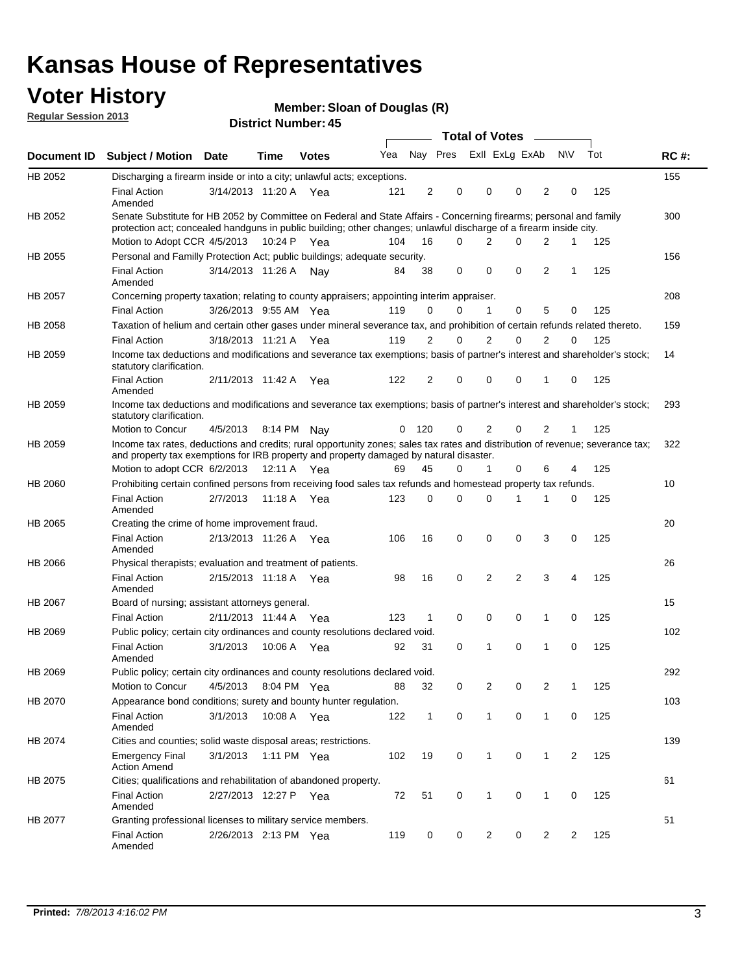### **Voter History**

**Member: Sloan of Douglas (R)** 

**Regular Session 2013**

|             |                                                                                                                                                                                                                                          |                       |             |              |     |              | <b>Total of Votes</b> |                |                         |                |                |     |             |
|-------------|------------------------------------------------------------------------------------------------------------------------------------------------------------------------------------------------------------------------------------------|-----------------------|-------------|--------------|-----|--------------|-----------------------|----------------|-------------------------|----------------|----------------|-----|-------------|
| Document ID | <b>Subject / Motion Date</b>                                                                                                                                                                                                             |                       | Time        | <b>Votes</b> | Yea |              |                       |                | Nay Pres Exll ExLg ExAb |                | <b>NV</b>      | Tot | <b>RC#:</b> |
| HB 2052     | Discharging a firearm inside or into a city; unlawful acts; exceptions.                                                                                                                                                                  |                       |             |              |     |              |                       |                |                         |                |                |     | 155         |
|             | <b>Final Action</b><br>Amended                                                                                                                                                                                                           | 3/14/2013 11:20 A     |             | Yea          | 121 | 2            | 0                     | $\mathbf 0$    | 0                       | 2              | 0              | 125 |             |
| HB 2052     | Senate Substitute for HB 2052 by Committee on Federal and State Affairs - Concerning firearms; personal and family<br>protection act; concealed handguns in public building; other changes; unlawful discharge of a firearm inside city. |                       |             |              |     |              |                       |                |                         |                |                |     | 300         |
|             | Motion to Adopt CCR 4/5/2013 10:24 P Yea                                                                                                                                                                                                 |                       |             |              | 104 | 16           | 0                     | 2              | 0                       | 2              | $\mathbf{1}$   | 125 |             |
| HB 2055     | Personal and Familly Protection Act; public buildings; adequate security.                                                                                                                                                                |                       |             |              |     |              |                       |                |                         |                |                |     | 156         |
|             | <b>Final Action</b><br>Amended                                                                                                                                                                                                           | 3/14/2013 11:26 A     |             | Nav          | 84  | 38           | 0                     | $\Omega$       | $\Omega$                | 2              | $\mathbf{1}$   | 125 |             |
| HB 2057     | Concerning property taxation; relating to county appraisers; appointing interim appraiser.                                                                                                                                               |                       |             |              |     |              |                       |                |                         |                |                |     | 208         |
|             | <b>Final Action</b>                                                                                                                                                                                                                      | 3/26/2013 9:55 AM Yea |             |              | 119 | 0            | 0                     | $\mathbf{1}$   | 0                       | 5              | 0              | 125 |             |
| HB 2058     | Taxation of helium and certain other gases under mineral severance tax, and prohibition of certain refunds related thereto.                                                                                                              |                       |             |              |     |              |                       |                |                         |                |                |     | 159         |
|             | <b>Final Action</b>                                                                                                                                                                                                                      | 3/18/2013 11:21 A Yea |             |              | 119 | 2            | 0                     | 2              | 0                       | $\overline{2}$ | 0              | 125 |             |
| HB 2059     | Income tax deductions and modifications and severance tax exemptions; basis of partner's interest and shareholder's stock;<br>statutory clarification.                                                                                   |                       |             |              |     |              |                       |                |                         |                |                |     | 14          |
|             | <b>Final Action</b><br>Amended                                                                                                                                                                                                           | 2/11/2013 11:42 A     |             | Yea          | 122 | 2            | 0                     | $\mathbf 0$    | 0                       | 1              | 0              | 125 |             |
| HB 2059     | Income tax deductions and modifications and severance tax exemptions; basis of partner's interest and shareholder's stock;<br>statutory clarification.                                                                                   |                       |             |              |     |              |                       |                |                         |                |                |     | 293         |
|             | <b>Motion to Concur</b>                                                                                                                                                                                                                  | 4/5/2013              | 8:14 PM Nav |              | 0   | 120          | 0                     | 2              | 0                       | 2              | 1              | 125 |             |
| HB 2059     | Income tax rates, deductions and credits; rural opportunity zones; sales tax rates and distribution of revenue; severance tax;<br>and property tax exemptions for IRB property and property damaged by natural disaster.                 |                       |             |              |     |              |                       |                |                         |                |                |     | 322         |
|             | Motion to adopt CCR 6/2/2013                                                                                                                                                                                                             |                       | 12:11 A Yea |              | 69  | 45           | 0                     | 1              | 0                       | 6              | 4              | 125 |             |
| HB 2060     | Prohibiting certain confined persons from receiving food sales tax refunds and homestead property tax refunds.                                                                                                                           |                       |             |              |     |              |                       |                |                         |                |                |     | 10          |
|             | <b>Final Action</b><br>Amended                                                                                                                                                                                                           | 2/7/2013              | 11:18 A     | Yea          | 123 | 0            | 0                     | $\Omega$       | 1                       | 1              | 0              | 125 |             |
| HB 2065     | Creating the crime of home improvement fraud.                                                                                                                                                                                            |                       |             |              |     |              |                       |                |                         |                |                |     | 20          |
|             | <b>Final Action</b><br>Amended                                                                                                                                                                                                           | 2/13/2013 11:26 A Yea |             |              | 106 | 16           | 0                     | $\mathbf 0$    | 0                       | 3              | 0              | 125 |             |
| HB 2066     | Physical therapists; evaluation and treatment of patients.                                                                                                                                                                               |                       |             |              |     |              |                       |                |                         |                |                |     | 26          |
|             | <b>Final Action</b><br>Amended                                                                                                                                                                                                           | 2/15/2013 11:18 A Yea |             |              | 98  | 16           | 0                     | 2              | $\overline{2}$          | 3              | 4              | 125 |             |
| HB 2067     | Board of nursing; assistant attorneys general.                                                                                                                                                                                           |                       |             |              |     |              |                       |                |                         |                |                |     | 15          |
|             | <b>Final Action</b>                                                                                                                                                                                                                      | 2/11/2013 11:44 A Yea |             |              | 123 | 1            | 0                     | $\mathbf 0$    | 0                       | 1              | 0              | 125 |             |
| HB 2069     | Public policy; certain city ordinances and county resolutions declared void.                                                                                                                                                             |                       |             |              |     |              |                       |                |                         |                |                |     | 102         |
|             | <b>Final Action</b><br>Amended                                                                                                                                                                                                           | 3/1/2013              | 10:06 A     | Yea          | 92  | 31           | 0                     | 1              | 0                       | 1              | 0              | 125 |             |
| HB 2069     | Public policy; certain city ordinances and county resolutions declared void.                                                                                                                                                             |                       |             |              |     |              |                       |                |                         |                |                |     | 292         |
|             | Motion to Concur                                                                                                                                                                                                                         | 4/5/2013              | 8:04 PM Yea |              | 88  | 32           | 0                     | 2              | 0                       | 2              | 1              | 125 |             |
| HB 2070     | Appearance bond conditions; surety and bounty hunter regulation.                                                                                                                                                                         |                       |             |              |     |              |                       |                |                         |                |                |     | 103         |
|             | <b>Final Action</b><br>Amended                                                                                                                                                                                                           | 3/1/2013              |             | 10:08 A Yea  | 122 | $\mathbf{1}$ | $\mathbf 0$           | $\mathbf{1}$   | 0                       | 1              | 0              | 125 |             |
| HB 2074     | Cities and counties; solid waste disposal areas; restrictions.                                                                                                                                                                           |                       |             |              |     |              |                       |                |                         |                |                |     | 139         |
|             | <b>Emergency Final</b><br><b>Action Amend</b>                                                                                                                                                                                            | 3/1/2013              |             | 1:11 PM Yea  | 102 | 19           | 0                     | $\mathbf{1}$   | 0                       | 1              | $\overline{2}$ | 125 |             |
| HB 2075     | Cities; qualifications and rehabilitation of abandoned property.                                                                                                                                                                         |                       |             |              |     |              |                       |                |                         |                |                |     | 61          |
|             | <b>Final Action</b><br>Amended                                                                                                                                                                                                           | 2/27/2013 12:27 P     |             | Yea          | 72  | 51           | 0                     | 1              | 0                       | 1              | 0              | 125 |             |
| HB 2077     | Granting professional licenses to military service members.<br><b>Final Action</b><br>Amended                                                                                                                                            | 2/26/2013 2:13 PM Yea |             |              | 119 | 0            | 0                     | $\overline{c}$ | 0                       | $\overline{2}$ | 2              | 125 | 51          |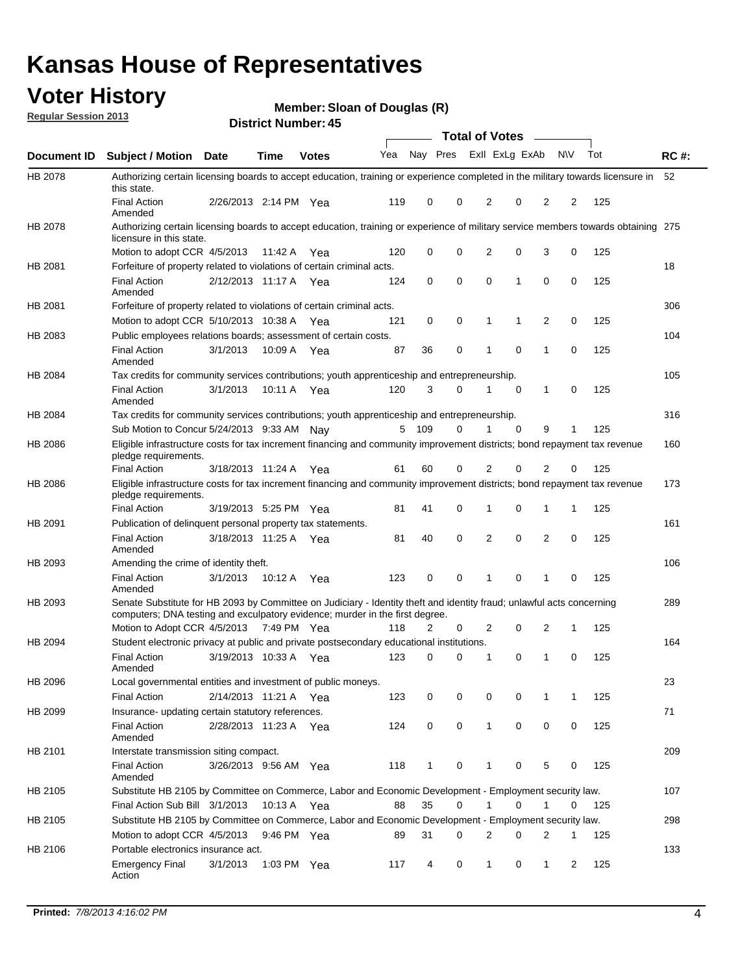### **Voter History**

**Member: Sloan of Douglas (R)** 

**Regular Session 2013**

|             |                                                                                                                                                                                                       |                       |             |              |     |                         |          | <b>Total of Votes</b> |   | $\sim$         |           |     |             |
|-------------|-------------------------------------------------------------------------------------------------------------------------------------------------------------------------------------------------------|-----------------------|-------------|--------------|-----|-------------------------|----------|-----------------------|---|----------------|-----------|-----|-------------|
| Document ID | Subject / Motion Date                                                                                                                                                                                 |                       | <b>Time</b> | <b>Votes</b> | Yea | Nay Pres Exll ExLg ExAb |          |                       |   |                | <b>NV</b> | Tot | <b>RC#:</b> |
| HB 2078     | Authorizing certain licensing boards to accept education, training or experience completed in the military towards licensure in<br>this state.                                                        |                       |             |              |     |                         |          |                       |   |                |           |     | 52          |
|             | <b>Final Action</b><br>Amended                                                                                                                                                                        | 2/26/2013 2:14 PM Yea |             |              | 119 | 0                       | 0        | 2                     | 0 | 2              | 2         | 125 |             |
| HB 2078     | Authorizing certain licensing boards to accept education, training or experience of military service members towards obtaining 275<br>licensure in this state.                                        |                       |             |              |     |                         |          |                       |   |                |           |     |             |
|             | Motion to adopt CCR 4/5/2013                                                                                                                                                                          |                       | 11:42 A     | Yea          | 120 | 0                       | 0        | 2                     | 0 | 3              | 0         | 125 |             |
| HB 2081     | Forfeiture of property related to violations of certain criminal acts.                                                                                                                                |                       |             |              |     |                         |          |                       |   |                |           |     | 18          |
|             | <b>Final Action</b><br>Amended                                                                                                                                                                        | 2/12/2013 11:17 A Yea |             |              | 124 | 0                       | 0        | 0                     | 1 | 0              | 0         | 125 |             |
| HB 2081     | Forfeiture of property related to violations of certain criminal acts.                                                                                                                                |                       |             |              |     |                         |          |                       |   |                |           |     | 306         |
|             | Motion to adopt CCR 5/10/2013 10:38 A                                                                                                                                                                 |                       |             | Yea          | 121 | 0                       | 0        | 1                     | 1 | $\overline{2}$ | 0         | 125 |             |
| HB 2083     | Public employees relations boards; assessment of certain costs.                                                                                                                                       |                       |             |              |     |                         |          |                       |   |                |           |     | 104         |
|             | <b>Final Action</b><br>Amended                                                                                                                                                                        | 3/1/2013              | 10:09 A     | Yea          | 87  | 36                      | 0        | 1                     | 0 | 1              | 0         | 125 |             |
| HB 2084     | Tax credits for community services contributions; youth apprenticeship and entrepreneurship.                                                                                                          |                       |             |              |     |                         |          |                       |   |                |           |     | 105         |
|             | <b>Final Action</b><br>Amended                                                                                                                                                                        | 3/1/2013              | 10:11 A     | Yea          | 120 | 3                       | 0        | 1                     | 0 | 1              | 0         | 125 |             |
| HB 2084     | Tax credits for community services contributions; youth apprenticeship and entrepreneurship.                                                                                                          |                       |             |              |     |                         |          |                       |   |                |           |     | 316         |
|             | Sub Motion to Concur 5/24/2013 9:33 AM Nay                                                                                                                                                            |                       |             |              |     | 5 109                   | 0        | 1                     | 0 | 9              | 1         | 125 |             |
| HB 2086     | Eligible infrastructure costs for tax increment financing and community improvement districts; bond repayment tax revenue<br>pledge requirements.                                                     |                       |             |              |     |                         |          |                       |   |                |           |     | 160         |
|             | <b>Final Action</b>                                                                                                                                                                                   | 3/18/2013 11:24 A     |             | Yea          | 61  | 60                      | 0        | 2                     | 0 | 2              | 0         | 125 |             |
| HB 2086     | Eligible infrastructure costs for tax increment financing and community improvement districts; bond repayment tax revenue<br>pledge requirements.                                                     |                       |             |              |     |                         |          |                       |   |                |           |     | 173         |
|             | <b>Final Action</b>                                                                                                                                                                                   | 3/19/2013 5:25 PM Yea |             |              | 81  | 41                      | $\Omega$ | 1                     | 0 | 1              | 1         | 125 |             |
| HB 2091     | Publication of delinquent personal property tax statements.                                                                                                                                           |                       |             |              |     |                         |          |                       |   |                |           |     | 161         |
|             | <b>Final Action</b><br>Amended                                                                                                                                                                        | 3/18/2013 11:25 A     |             | Yea          | 81  | 40                      | $\Omega$ | 2                     | 0 | 2              | 0         | 125 |             |
| HB 2093     | Amending the crime of identity theft.                                                                                                                                                                 |                       |             |              |     |                         |          |                       |   |                |           |     | 106         |
|             | <b>Final Action</b><br>Amended                                                                                                                                                                        | 3/1/2013              | 10:12 A Yea |              | 123 | 0                       | 0        | 1                     | 0 | 1              | 0         | 125 |             |
| HB 2093     | Senate Substitute for HB 2093 by Committee on Judiciary - Identity theft and identity fraud; unlawful acts concerning<br>computers; DNA testing and exculpatory evidence; murder in the first degree. |                       |             |              |     |                         |          |                       |   |                |           |     | 289         |
|             | Motion to Adopt CCR 4/5/2013 7:49 PM Yea                                                                                                                                                              |                       |             |              | 118 | 2                       | 0        | 2                     | 0 | 2              | 1         | 125 |             |
| HB 2094     | Student electronic privacy at public and private postsecondary educational institutions.                                                                                                              |                       |             |              |     |                         |          |                       |   |                |           |     | 164         |
|             | <b>Final Action</b><br>Amended                                                                                                                                                                        | 3/19/2013 10:33 A     |             | Yea          | 123 | 0                       | 0        |                       | 0 | 1              | 0         | 125 |             |
| HB 2096     | Local governmental entities and investment of public moneys.                                                                                                                                          |                       |             |              |     |                         |          |                       |   |                |           |     | 23          |
|             | <b>Final Action</b>                                                                                                                                                                                   | 2/14/2013 11:21 A     |             | Yea          | 123 | 0                       | 0        | 0                     | 0 | 1              | 1         | 125 |             |
| HB 2099     | Insurance- updating certain statutory references.                                                                                                                                                     |                       |             |              |     |                         |          |                       |   |                |           |     | 71          |
|             | Final Action<br>Amended                                                                                                                                                                               | 2/28/2013 11:23 A Yea |             |              | 124 | 0                       | 0        | 1                     | 0 | 0              | 0         | 125 |             |
| HB 2101     | Interstate transmission siting compact.                                                                                                                                                               |                       |             |              |     |                         |          |                       |   |                |           |     | 209         |
|             | <b>Final Action</b><br>Amended                                                                                                                                                                        | 3/26/2013 9:56 AM Yea |             |              | 118 | 1                       | 0        | 1                     | 0 | 5              | 0         | 125 |             |
| HB 2105     | Substitute HB 2105 by Committee on Commerce, Labor and Economic Development - Employment security law.                                                                                                |                       |             |              |     |                         |          |                       |   |                |           |     | 107         |
|             | Final Action Sub Bill 3/1/2013                                                                                                                                                                        |                       | 10:13 A Yea |              | 88  | 35                      | 0        |                       | 0 | 1              | 0         | 125 |             |
| HB 2105     | Substitute HB 2105 by Committee on Commerce, Labor and Economic Development - Employment security law.                                                                                                |                       |             |              |     |                         |          |                       |   |                |           |     | 298         |
|             | Motion to adopt CCR 4/5/2013                                                                                                                                                                          |                       | 9:46 PM Yea |              | 89  | 31                      | 0        | 2                     | 0 | 2              | 1         | 125 |             |
| HB 2106     | Portable electronics insurance act.                                                                                                                                                                   |                       |             |              |     |                         |          |                       |   |                |           |     | 133         |
|             | <b>Emergency Final</b><br>Action                                                                                                                                                                      | 3/1/2013              | 1:03 PM Yea |              | 117 | 4                       | 0        | $\mathbf{1}$          | 0 | $\mathbf{1}$   | 2         | 125 |             |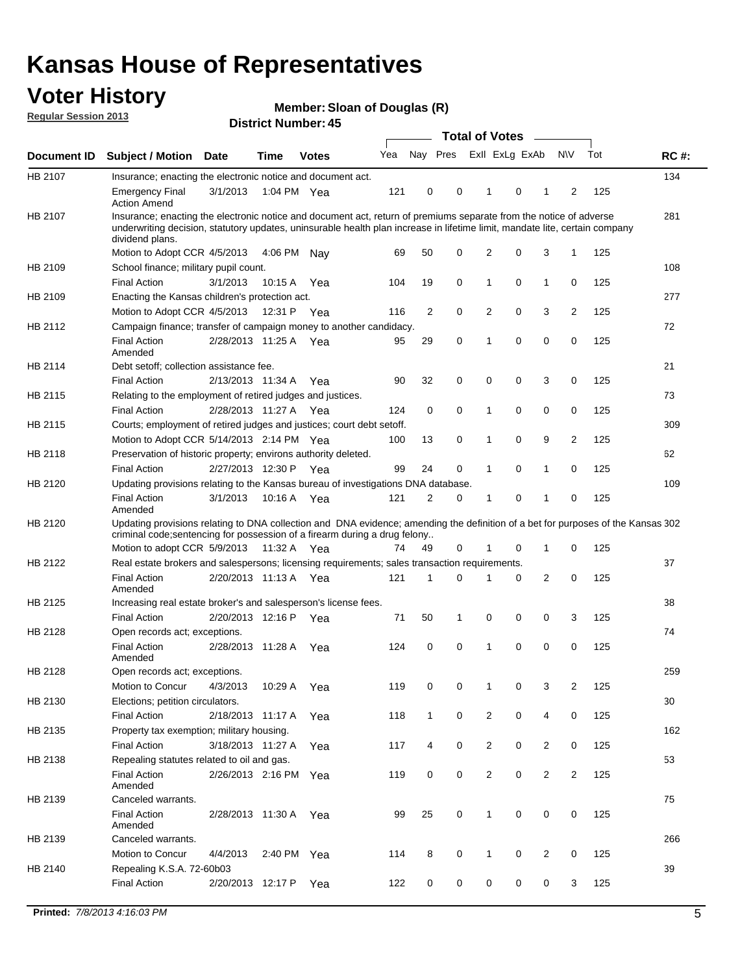### **Voter History**

**Member: Sloan of Douglas (R)** 

**Regular Session 2013**

|             |                                                                                                                                                                                                                                                                      |                       |             |              |     |              |                         | <b>Total of Votes</b> |   | $\overline{\phantom{a}}$ |           |     |             |
|-------------|----------------------------------------------------------------------------------------------------------------------------------------------------------------------------------------------------------------------------------------------------------------------|-----------------------|-------------|--------------|-----|--------------|-------------------------|-----------------------|---|--------------------------|-----------|-----|-------------|
| Document ID | <b>Subject / Motion Date</b>                                                                                                                                                                                                                                         |                       | <b>Time</b> | <b>Votes</b> | Yea |              | Nay Pres Exll ExLg ExAb |                       |   |                          | <b>NV</b> | Tot | <b>RC#:</b> |
| HB 2107     | Insurance; enacting the electronic notice and document act.                                                                                                                                                                                                          |                       |             |              |     |              |                         |                       |   |                          |           |     | 134         |
|             | <b>Emergency Final</b><br><b>Action Amend</b>                                                                                                                                                                                                                        | 3/1/2013              | 1:04 PM Yea |              | 121 | 0            | 0                       | 1                     | 0 | 1                        | 2         | 125 |             |
| HB 2107     | Insurance; enacting the electronic notice and document act, return of premiums separate from the notice of adverse<br>underwriting decision, statutory updates, uninsurable health plan increase in lifetime limit, mandate lite, certain company<br>dividend plans. |                       |             |              |     |              |                         |                       |   |                          |           |     | 281         |
|             | Motion to Adopt CCR 4/5/2013                                                                                                                                                                                                                                         |                       | 4:06 PM     | Nav          | 69  | 50           | 0                       | $\overline{2}$        | 0 | 3                        | 1         | 125 |             |
| HB 2109     | School finance; military pupil count.                                                                                                                                                                                                                                |                       |             |              |     |              |                         |                       |   |                          |           |     | 108         |
|             | <b>Final Action</b>                                                                                                                                                                                                                                                  | 3/1/2013              | 10:15 A     | Yea          | 104 | 19           | 0                       | 1                     | 0 | $\mathbf{1}$             | 0         | 125 |             |
| HB 2109     | Enacting the Kansas children's protection act.                                                                                                                                                                                                                       |                       |             |              |     |              |                         |                       |   |                          |           |     | 277         |
|             | Motion to Adopt CCR 4/5/2013                                                                                                                                                                                                                                         |                       | 12:31 P Yea |              | 116 | 2            | 0                       | 2                     | 0 | 3                        | 2         | 125 |             |
| HB 2112     | Campaign finance; transfer of campaign money to another candidacy.                                                                                                                                                                                                   |                       |             |              |     |              |                         |                       |   |                          |           |     | 72          |
|             | <b>Final Action</b><br>Amended                                                                                                                                                                                                                                       | 2/28/2013 11:25 A Yea |             |              | 95  | 29           | 0                       | 1                     | 0 | 0                        | 0         | 125 |             |
| HB 2114     | Debt setoff; collection assistance fee.                                                                                                                                                                                                                              |                       |             |              |     |              |                         |                       |   |                          |           |     | 21          |
|             | <b>Final Action</b>                                                                                                                                                                                                                                                  | 2/13/2013 11:34 A     |             | Yea          | 90  | 32           | 0                       | 0                     | 0 | 3                        | 0         | 125 |             |
| HB 2115     | Relating to the employment of retired judges and justices.                                                                                                                                                                                                           |                       |             |              |     |              |                         |                       |   |                          |           |     | 73          |
|             | <b>Final Action</b>                                                                                                                                                                                                                                                  | 2/28/2013 11:27 A     |             | Yea          | 124 | 0            | 0                       | 1                     | 0 | 0                        | 0         | 125 |             |
| HB 2115     | Courts; employment of retired judges and justices; court debt setoff.                                                                                                                                                                                                |                       |             |              |     |              |                         |                       |   |                          |           |     | 309         |
|             | Motion to Adopt CCR 5/14/2013 2:14 PM Yea                                                                                                                                                                                                                            |                       |             |              | 100 | 13           | 0                       | 1                     | 0 | 9                        | 2         | 125 |             |
| HB 2118     | Preservation of historic property; environs authority deleted.                                                                                                                                                                                                       |                       |             |              |     |              |                         |                       |   |                          |           |     | 62          |
|             | <b>Final Action</b>                                                                                                                                                                                                                                                  | 2/27/2013 12:30 P     |             | Yea          | 99  | 24           | 0                       |                       | 0 | 1                        | 0         | 125 |             |
| HB 2120     | Updating provisions relating to the Kansas bureau of investigations DNA database.                                                                                                                                                                                    |                       |             |              |     |              |                         |                       |   |                          |           |     | 109         |
|             | <b>Final Action</b><br>Amended                                                                                                                                                                                                                                       | 3/1/2013              | 10:16 A     | Yea          | 121 | 2            | 0                       | 1                     | 0 | 1                        | 0         | 125 |             |
| HB 2120     | Updating provisions relating to DNA collection and DNA evidence; amending the definition of a bet for purposes of the Kansas 302                                                                                                                                     |                       |             |              |     |              |                         |                       |   |                          |           |     |             |
|             | criminal code; sentencing for possession of a firearm during a drug felony<br>Motion to adopt CCR 5/9/2013                                                                                                                                                           |                       | 11:32 A Yea |              | 74  | 49           | 0                       |                       | 0 | 1                        | 0         | 125 |             |
| HB 2122     | Real estate brokers and salespersons; licensing requirements; sales transaction requirements.                                                                                                                                                                        |                       |             |              |     |              |                         |                       |   |                          |           |     | 37          |
|             | <b>Final Action</b><br>Amended                                                                                                                                                                                                                                       | 2/20/2013 11:13 A Yea |             |              | 121 | 1            | 0                       |                       | 0 | $\overline{2}$           | 0         | 125 |             |
| HB 2125     | Increasing real estate broker's and salesperson's license fees.                                                                                                                                                                                                      |                       |             |              |     |              |                         |                       |   |                          |           |     | 38          |
|             | <b>Final Action</b>                                                                                                                                                                                                                                                  | 2/20/2013 12:16 P     |             | Yea          | 71  | 50           | 1                       | 0                     | 0 | 0                        | 3         | 125 |             |
| HB 2128     | Open records act; exceptions.                                                                                                                                                                                                                                        |                       |             |              |     |              |                         |                       |   |                          |           |     | 74          |
|             | <b>Final Action</b><br>Amended                                                                                                                                                                                                                                       | 2/28/2013 11:28 A     |             | Yea          | 124 | 0            | 0                       | 1                     | 0 | 0                        | 0         | 125 |             |
| HB 2128     | Open records act; exceptions.                                                                                                                                                                                                                                        |                       |             |              |     |              |                         |                       |   |                          |           |     | 259         |
|             | Motion to Concur                                                                                                                                                                                                                                                     | 4/3/2013              | 10:29 A     | Yea          | 119 | 0            | 0                       |                       | 0 | 3                        | 2         | 125 |             |
| HB 2130     | Elections; petition circulators.                                                                                                                                                                                                                                     |                       |             |              |     |              |                         |                       |   |                          |           |     | 30          |
|             | <b>Final Action</b>                                                                                                                                                                                                                                                  | 2/18/2013 11:17 A     |             | Yea          | 118 | $\mathbf{1}$ | 0                       | $\overline{2}$        | 0 | 4                        | 0         | 125 |             |
| HB 2135     | Property tax exemption; military housing.                                                                                                                                                                                                                            |                       |             |              |     |              |                         |                       |   |                          |           |     | 162         |
|             | <b>Final Action</b>                                                                                                                                                                                                                                                  | 3/18/2013 11:27 A     |             | Yea          | 117 | 4            | 0                       | $\overline{c}$        | 0 | $\overline{2}$           | 0         | 125 |             |
| HB 2138     | Repealing statutes related to oil and gas.                                                                                                                                                                                                                           |                       |             |              |     |              |                         |                       |   |                          |           |     | 53          |
|             | <b>Final Action</b><br>Amended                                                                                                                                                                                                                                       | 2/26/2013 2:16 PM Yea |             |              | 119 | 0            | 0                       | $\overline{2}$        | 0 | $\overline{2}$           | 2         | 125 |             |
| HB 2139     | Canceled warrants.                                                                                                                                                                                                                                                   |                       |             |              |     |              |                         |                       |   |                          |           |     | 75          |
|             | <b>Final Action</b><br>Amended                                                                                                                                                                                                                                       | 2/28/2013 11:30 A Yea |             |              | 99  | 25           | 0                       | $\mathbf{1}$          | 0 | 0                        | 0         | 125 |             |
| HB 2139     | Canceled warrants.                                                                                                                                                                                                                                                   |                       |             |              |     |              |                         |                       |   |                          |           |     | 266         |
|             | Motion to Concur                                                                                                                                                                                                                                                     | 4/4/2013              | 2:40 PM Yea |              | 114 | 8            | 0                       | 1                     | 0 | 2                        | 0         | 125 |             |
| HB 2140     | Repealing K.S.A. 72-60b03                                                                                                                                                                                                                                            |                       |             |              |     |              |                         |                       |   |                          |           |     | 39          |
|             | <b>Final Action</b>                                                                                                                                                                                                                                                  | 2/20/2013 12:17 P     |             | Yea          | 122 | 0            | 0                       | 0                     | 0 | 0                        | 3         | 125 |             |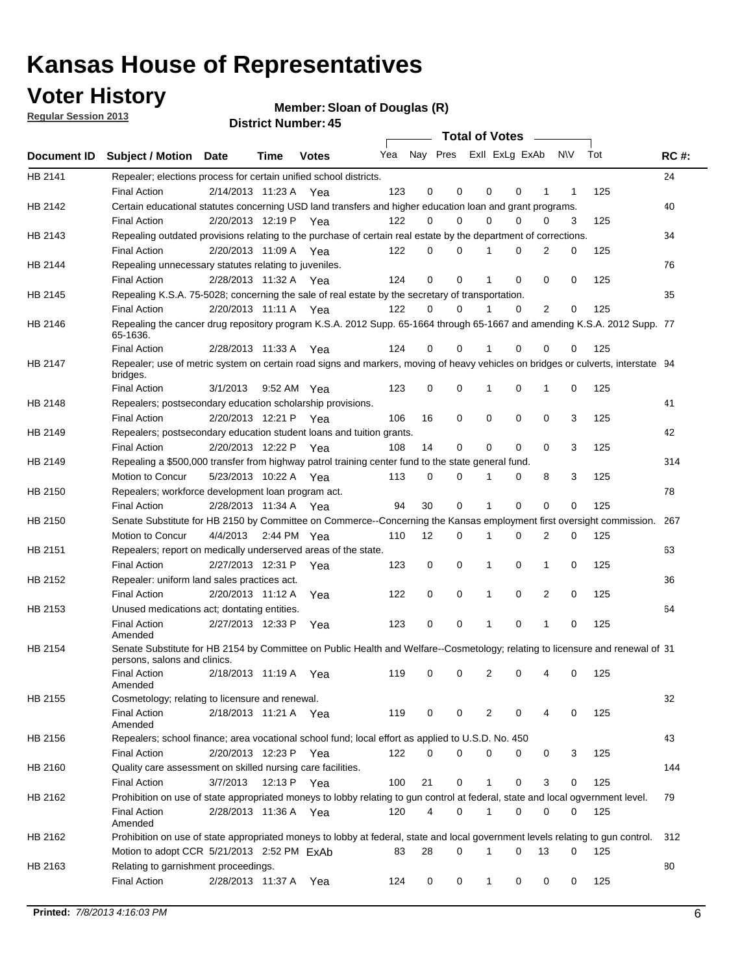### **Voter History**

**Member: Sloan of Douglas (R)** 

**Regular Session 2013**

| Yea Nay Pres ExII ExLg ExAb<br>N\V<br>Tot<br><b>RC#:</b><br>Document ID Subject / Motion Date<br>Time<br><b>Votes</b><br>HB 2141<br>24<br>Repealer; elections process for certain unified school districts.<br>2/14/2013 11:23 A<br>123<br>0<br>0<br>0<br>0<br>125<br><b>Final Action</b><br>1<br>Yea<br>1<br>HB 2142<br>Certain educational statutes concerning USD land transfers and higher education loan and grant programs.<br>40<br>0<br><b>Final Action</b><br>2/20/2013 12:19 P<br>122<br>0<br>0<br>0<br>0<br>3<br>125<br>Yea<br>HB 2143<br>Repealing outdated provisions relating to the purchase of certain real estate by the department of corrections.<br>34<br><b>Final Action</b><br>2/20/2013 11:09 A Yea<br>122<br>0<br>0<br>$\overline{2}$<br>0<br>125<br>0<br>HB 2144<br>Repealing unnecessary statutes relating to juveniles.<br>76<br>0<br>125<br><b>Final Action</b><br>2/28/2013 11:32 A Yea<br>124<br>0<br>0<br>0<br>0<br><b>HB 2145</b><br>Repealing K.S.A. 75-5028; concerning the sale of real estate by the secretary of transportation.<br>35<br>2<br><b>Final Action</b><br>2/20/2013 11:11 A Yea<br>122<br>0<br>0<br>0<br>0<br>125<br>HB 2146<br>Repealing the cancer drug repository program K.S.A. 2012 Supp. 65-1664 through 65-1667 and amending K.S.A. 2012 Supp. 77<br>65-1636.<br>124<br>125<br><b>Final Action</b><br>2/28/2013 11:33 A<br>0<br>0<br>0<br>0<br>Yea<br>0<br>Repealer; use of metric system on certain road signs and markers, moving of heavy vehicles on bridges or culverts, interstate 94<br>HB 2147<br>bridges.<br>0<br>0<br>0<br>0<br>125<br><b>Final Action</b><br>3/1/2013<br>9:52 AM Yea<br>123<br>1<br>1<br>41<br>HB 2148<br>Repealers; postsecondary education scholarship provisions.<br>2/20/2013 12:21 P Yea<br>16<br>0<br>0<br>0<br>0<br>3<br>125<br><b>Final Action</b><br>106<br>42<br>HB 2149<br>Repealers; postsecondary education student loans and tuition grants.<br>2/20/2013 12:22 P<br>14<br>0<br>0<br>0<br>$\Omega$<br>3<br>125<br><b>Final Action</b><br>Yea<br>108<br>314<br>HB 2149<br>Repealing a \$500,000 transfer from highway patrol training center fund to the state general fund.<br>3<br>Motion to Concur<br>5/23/2013 10:22 A Yea<br>113<br>0<br>0<br>0<br>8<br>125<br>78<br>HB 2150<br>Repealers; workforce development loan program act.<br>$\mathbf 0$<br>30<br>0<br>0<br>0<br>125<br><b>Final Action</b><br>2/28/2013 11:34 A Yea<br>94<br>1 |
|-----------------------------------------------------------------------------------------------------------------------------------------------------------------------------------------------------------------------------------------------------------------------------------------------------------------------------------------------------------------------------------------------------------------------------------------------------------------------------------------------------------------------------------------------------------------------------------------------------------------------------------------------------------------------------------------------------------------------------------------------------------------------------------------------------------------------------------------------------------------------------------------------------------------------------------------------------------------------------------------------------------------------------------------------------------------------------------------------------------------------------------------------------------------------------------------------------------------------------------------------------------------------------------------------------------------------------------------------------------------------------------------------------------------------------------------------------------------------------------------------------------------------------------------------------------------------------------------------------------------------------------------------------------------------------------------------------------------------------------------------------------------------------------------------------------------------------------------------------------------------------------------------------------------------------------------------------------------------------------------------------------------------------------------------------------------------------------------------------------------------------------------------------------------------------------------------------------------------------------------------------------------------------------------------------------------------------------------------------------------------------------------------------------------------------------------------|
|                                                                                                                                                                                                                                                                                                                                                                                                                                                                                                                                                                                                                                                                                                                                                                                                                                                                                                                                                                                                                                                                                                                                                                                                                                                                                                                                                                                                                                                                                                                                                                                                                                                                                                                                                                                                                                                                                                                                                                                                                                                                                                                                                                                                                                                                                                                                                                                                                                               |
|                                                                                                                                                                                                                                                                                                                                                                                                                                                                                                                                                                                                                                                                                                                                                                                                                                                                                                                                                                                                                                                                                                                                                                                                                                                                                                                                                                                                                                                                                                                                                                                                                                                                                                                                                                                                                                                                                                                                                                                                                                                                                                                                                                                                                                                                                                                                                                                                                                               |
|                                                                                                                                                                                                                                                                                                                                                                                                                                                                                                                                                                                                                                                                                                                                                                                                                                                                                                                                                                                                                                                                                                                                                                                                                                                                                                                                                                                                                                                                                                                                                                                                                                                                                                                                                                                                                                                                                                                                                                                                                                                                                                                                                                                                                                                                                                                                                                                                                                               |
|                                                                                                                                                                                                                                                                                                                                                                                                                                                                                                                                                                                                                                                                                                                                                                                                                                                                                                                                                                                                                                                                                                                                                                                                                                                                                                                                                                                                                                                                                                                                                                                                                                                                                                                                                                                                                                                                                                                                                                                                                                                                                                                                                                                                                                                                                                                                                                                                                                               |
|                                                                                                                                                                                                                                                                                                                                                                                                                                                                                                                                                                                                                                                                                                                                                                                                                                                                                                                                                                                                                                                                                                                                                                                                                                                                                                                                                                                                                                                                                                                                                                                                                                                                                                                                                                                                                                                                                                                                                                                                                                                                                                                                                                                                                                                                                                                                                                                                                                               |
|                                                                                                                                                                                                                                                                                                                                                                                                                                                                                                                                                                                                                                                                                                                                                                                                                                                                                                                                                                                                                                                                                                                                                                                                                                                                                                                                                                                                                                                                                                                                                                                                                                                                                                                                                                                                                                                                                                                                                                                                                                                                                                                                                                                                                                                                                                                                                                                                                                               |
|                                                                                                                                                                                                                                                                                                                                                                                                                                                                                                                                                                                                                                                                                                                                                                                                                                                                                                                                                                                                                                                                                                                                                                                                                                                                                                                                                                                                                                                                                                                                                                                                                                                                                                                                                                                                                                                                                                                                                                                                                                                                                                                                                                                                                                                                                                                                                                                                                                               |
|                                                                                                                                                                                                                                                                                                                                                                                                                                                                                                                                                                                                                                                                                                                                                                                                                                                                                                                                                                                                                                                                                                                                                                                                                                                                                                                                                                                                                                                                                                                                                                                                                                                                                                                                                                                                                                                                                                                                                                                                                                                                                                                                                                                                                                                                                                                                                                                                                                               |
|                                                                                                                                                                                                                                                                                                                                                                                                                                                                                                                                                                                                                                                                                                                                                                                                                                                                                                                                                                                                                                                                                                                                                                                                                                                                                                                                                                                                                                                                                                                                                                                                                                                                                                                                                                                                                                                                                                                                                                                                                                                                                                                                                                                                                                                                                                                                                                                                                                               |
|                                                                                                                                                                                                                                                                                                                                                                                                                                                                                                                                                                                                                                                                                                                                                                                                                                                                                                                                                                                                                                                                                                                                                                                                                                                                                                                                                                                                                                                                                                                                                                                                                                                                                                                                                                                                                                                                                                                                                                                                                                                                                                                                                                                                                                                                                                                                                                                                                                               |
|                                                                                                                                                                                                                                                                                                                                                                                                                                                                                                                                                                                                                                                                                                                                                                                                                                                                                                                                                                                                                                                                                                                                                                                                                                                                                                                                                                                                                                                                                                                                                                                                                                                                                                                                                                                                                                                                                                                                                                                                                                                                                                                                                                                                                                                                                                                                                                                                                                               |
|                                                                                                                                                                                                                                                                                                                                                                                                                                                                                                                                                                                                                                                                                                                                                                                                                                                                                                                                                                                                                                                                                                                                                                                                                                                                                                                                                                                                                                                                                                                                                                                                                                                                                                                                                                                                                                                                                                                                                                                                                                                                                                                                                                                                                                                                                                                                                                                                                                               |
|                                                                                                                                                                                                                                                                                                                                                                                                                                                                                                                                                                                                                                                                                                                                                                                                                                                                                                                                                                                                                                                                                                                                                                                                                                                                                                                                                                                                                                                                                                                                                                                                                                                                                                                                                                                                                                                                                                                                                                                                                                                                                                                                                                                                                                                                                                                                                                                                                                               |
|                                                                                                                                                                                                                                                                                                                                                                                                                                                                                                                                                                                                                                                                                                                                                                                                                                                                                                                                                                                                                                                                                                                                                                                                                                                                                                                                                                                                                                                                                                                                                                                                                                                                                                                                                                                                                                                                                                                                                                                                                                                                                                                                                                                                                                                                                                                                                                                                                                               |
|                                                                                                                                                                                                                                                                                                                                                                                                                                                                                                                                                                                                                                                                                                                                                                                                                                                                                                                                                                                                                                                                                                                                                                                                                                                                                                                                                                                                                                                                                                                                                                                                                                                                                                                                                                                                                                                                                                                                                                                                                                                                                                                                                                                                                                                                                                                                                                                                                                               |
|                                                                                                                                                                                                                                                                                                                                                                                                                                                                                                                                                                                                                                                                                                                                                                                                                                                                                                                                                                                                                                                                                                                                                                                                                                                                                                                                                                                                                                                                                                                                                                                                                                                                                                                                                                                                                                                                                                                                                                                                                                                                                                                                                                                                                                                                                                                                                                                                                                               |
|                                                                                                                                                                                                                                                                                                                                                                                                                                                                                                                                                                                                                                                                                                                                                                                                                                                                                                                                                                                                                                                                                                                                                                                                                                                                                                                                                                                                                                                                                                                                                                                                                                                                                                                                                                                                                                                                                                                                                                                                                                                                                                                                                                                                                                                                                                                                                                                                                                               |
|                                                                                                                                                                                                                                                                                                                                                                                                                                                                                                                                                                                                                                                                                                                                                                                                                                                                                                                                                                                                                                                                                                                                                                                                                                                                                                                                                                                                                                                                                                                                                                                                                                                                                                                                                                                                                                                                                                                                                                                                                                                                                                                                                                                                                                                                                                                                                                                                                                               |
|                                                                                                                                                                                                                                                                                                                                                                                                                                                                                                                                                                                                                                                                                                                                                                                                                                                                                                                                                                                                                                                                                                                                                                                                                                                                                                                                                                                                                                                                                                                                                                                                                                                                                                                                                                                                                                                                                                                                                                                                                                                                                                                                                                                                                                                                                                                                                                                                                                               |
|                                                                                                                                                                                                                                                                                                                                                                                                                                                                                                                                                                                                                                                                                                                                                                                                                                                                                                                                                                                                                                                                                                                                                                                                                                                                                                                                                                                                                                                                                                                                                                                                                                                                                                                                                                                                                                                                                                                                                                                                                                                                                                                                                                                                                                                                                                                                                                                                                                               |
|                                                                                                                                                                                                                                                                                                                                                                                                                                                                                                                                                                                                                                                                                                                                                                                                                                                                                                                                                                                                                                                                                                                                                                                                                                                                                                                                                                                                                                                                                                                                                                                                                                                                                                                                                                                                                                                                                                                                                                                                                                                                                                                                                                                                                                                                                                                                                                                                                                               |
|                                                                                                                                                                                                                                                                                                                                                                                                                                                                                                                                                                                                                                                                                                                                                                                                                                                                                                                                                                                                                                                                                                                                                                                                                                                                                                                                                                                                                                                                                                                                                                                                                                                                                                                                                                                                                                                                                                                                                                                                                                                                                                                                                                                                                                                                                                                                                                                                                                               |
|                                                                                                                                                                                                                                                                                                                                                                                                                                                                                                                                                                                                                                                                                                                                                                                                                                                                                                                                                                                                                                                                                                                                                                                                                                                                                                                                                                                                                                                                                                                                                                                                                                                                                                                                                                                                                                                                                                                                                                                                                                                                                                                                                                                                                                                                                                                                                                                                                                               |
| Senate Substitute for HB 2150 by Committee on Commerce--Concerning the Kansas employment first oversight commission.<br>HB 2150<br>267                                                                                                                                                                                                                                                                                                                                                                                                                                                                                                                                                                                                                                                                                                                                                                                                                                                                                                                                                                                                                                                                                                                                                                                                                                                                                                                                                                                                                                                                                                                                                                                                                                                                                                                                                                                                                                                                                                                                                                                                                                                                                                                                                                                                                                                                                                        |
| 12<br>2<br>125<br>Motion to Concur<br>4/4/2013<br>2:44 PM Yea<br>110<br>0<br>0<br>0<br>1                                                                                                                                                                                                                                                                                                                                                                                                                                                                                                                                                                                                                                                                                                                                                                                                                                                                                                                                                                                                                                                                                                                                                                                                                                                                                                                                                                                                                                                                                                                                                                                                                                                                                                                                                                                                                                                                                                                                                                                                                                                                                                                                                                                                                                                                                                                                                      |
| HB 2151<br>Repealers; report on medically underserved areas of the state.<br>63                                                                                                                                                                                                                                                                                                                                                                                                                                                                                                                                                                                                                                                                                                                                                                                                                                                                                                                                                                                                                                                                                                                                                                                                                                                                                                                                                                                                                                                                                                                                                                                                                                                                                                                                                                                                                                                                                                                                                                                                                                                                                                                                                                                                                                                                                                                                                               |
| 2/27/2013 12:31 P<br>0<br>0<br>0<br><b>Final Action</b><br>123<br>1<br>1<br>0<br>125<br>Yea                                                                                                                                                                                                                                                                                                                                                                                                                                                                                                                                                                                                                                                                                                                                                                                                                                                                                                                                                                                                                                                                                                                                                                                                                                                                                                                                                                                                                                                                                                                                                                                                                                                                                                                                                                                                                                                                                                                                                                                                                                                                                                                                                                                                                                                                                                                                                   |
| HB 2152<br>Repealer: uniform land sales practices act.<br>36                                                                                                                                                                                                                                                                                                                                                                                                                                                                                                                                                                                                                                                                                                                                                                                                                                                                                                                                                                                                                                                                                                                                                                                                                                                                                                                                                                                                                                                                                                                                                                                                                                                                                                                                                                                                                                                                                                                                                                                                                                                                                                                                                                                                                                                                                                                                                                                  |
| 0<br>0<br>0<br>2<br>0<br>125<br><b>Final Action</b><br>2/20/2013 11:12 A<br>122<br>1<br>Yea                                                                                                                                                                                                                                                                                                                                                                                                                                                                                                                                                                                                                                                                                                                                                                                                                                                                                                                                                                                                                                                                                                                                                                                                                                                                                                                                                                                                                                                                                                                                                                                                                                                                                                                                                                                                                                                                                                                                                                                                                                                                                                                                                                                                                                                                                                                                                   |
| 64<br>HB 2153<br>Unused medications act; dontating entities.                                                                                                                                                                                                                                                                                                                                                                                                                                                                                                                                                                                                                                                                                                                                                                                                                                                                                                                                                                                                                                                                                                                                                                                                                                                                                                                                                                                                                                                                                                                                                                                                                                                                                                                                                                                                                                                                                                                                                                                                                                                                                                                                                                                                                                                                                                                                                                                  |
| 0<br>2/27/2013 12:33 P<br>123<br>0<br>0<br>125<br><b>Final Action</b><br>1<br>0<br>Yea<br>Amended                                                                                                                                                                                                                                                                                                                                                                                                                                                                                                                                                                                                                                                                                                                                                                                                                                                                                                                                                                                                                                                                                                                                                                                                                                                                                                                                                                                                                                                                                                                                                                                                                                                                                                                                                                                                                                                                                                                                                                                                                                                                                                                                                                                                                                                                                                                                             |
| HB 2154<br>Senate Substitute for HB 2154 by Committee on Public Health and Welfare--Cosmetology; relating to licensure and renewal of 31                                                                                                                                                                                                                                                                                                                                                                                                                                                                                                                                                                                                                                                                                                                                                                                                                                                                                                                                                                                                                                                                                                                                                                                                                                                                                                                                                                                                                                                                                                                                                                                                                                                                                                                                                                                                                                                                                                                                                                                                                                                                                                                                                                                                                                                                                                      |
| persons, salons and clinics.                                                                                                                                                                                                                                                                                                                                                                                                                                                                                                                                                                                                                                                                                                                                                                                                                                                                                                                                                                                                                                                                                                                                                                                                                                                                                                                                                                                                                                                                                                                                                                                                                                                                                                                                                                                                                                                                                                                                                                                                                                                                                                                                                                                                                                                                                                                                                                                                                  |
| 119<br>0<br>2<br>125<br><b>Final Action</b><br>2/18/2013 11:19 A<br>0<br>0<br>0<br>Yea<br>Amended                                                                                                                                                                                                                                                                                                                                                                                                                                                                                                                                                                                                                                                                                                                                                                                                                                                                                                                                                                                                                                                                                                                                                                                                                                                                                                                                                                                                                                                                                                                                                                                                                                                                                                                                                                                                                                                                                                                                                                                                                                                                                                                                                                                                                                                                                                                                             |
| HB 2155<br>32<br>Cosmetology; relating to licensure and renewal.                                                                                                                                                                                                                                                                                                                                                                                                                                                                                                                                                                                                                                                                                                                                                                                                                                                                                                                                                                                                                                                                                                                                                                                                                                                                                                                                                                                                                                                                                                                                                                                                                                                                                                                                                                                                                                                                                                                                                                                                                                                                                                                                                                                                                                                                                                                                                                              |
| <b>Final Action</b><br>119<br>2<br>125<br>2/18/2013 11:21 A Yea<br>0<br>0<br>0<br>0<br>4<br>Amended                                                                                                                                                                                                                                                                                                                                                                                                                                                                                                                                                                                                                                                                                                                                                                                                                                                                                                                                                                                                                                                                                                                                                                                                                                                                                                                                                                                                                                                                                                                                                                                                                                                                                                                                                                                                                                                                                                                                                                                                                                                                                                                                                                                                                                                                                                                                           |
| Repealers; school finance; area vocational school fund; local effort as applied to U.S.D. No. 450<br>43<br>HB 2156                                                                                                                                                                                                                                                                                                                                                                                                                                                                                                                                                                                                                                                                                                                                                                                                                                                                                                                                                                                                                                                                                                                                                                                                                                                                                                                                                                                                                                                                                                                                                                                                                                                                                                                                                                                                                                                                                                                                                                                                                                                                                                                                                                                                                                                                                                                            |
| 2/20/2013 12:23 P<br>122<br>0<br>0<br>0<br>0<br>125<br><b>Final Action</b><br>0<br>3<br>Yea                                                                                                                                                                                                                                                                                                                                                                                                                                                                                                                                                                                                                                                                                                                                                                                                                                                                                                                                                                                                                                                                                                                                                                                                                                                                                                                                                                                                                                                                                                                                                                                                                                                                                                                                                                                                                                                                                                                                                                                                                                                                                                                                                                                                                                                                                                                                                   |
| Quality care assessment on skilled nursing care facilities.<br>144<br>HB 2160                                                                                                                                                                                                                                                                                                                                                                                                                                                                                                                                                                                                                                                                                                                                                                                                                                                                                                                                                                                                                                                                                                                                                                                                                                                                                                                                                                                                                                                                                                                                                                                                                                                                                                                                                                                                                                                                                                                                                                                                                                                                                                                                                                                                                                                                                                                                                                 |
| 3/7/2013<br>12:13 P<br>21<br>0<br>$\mathbf{1}$<br>0<br>3<br>125<br><b>Final Action</b><br>100<br>0<br>Yea                                                                                                                                                                                                                                                                                                                                                                                                                                                                                                                                                                                                                                                                                                                                                                                                                                                                                                                                                                                                                                                                                                                                                                                                                                                                                                                                                                                                                                                                                                                                                                                                                                                                                                                                                                                                                                                                                                                                                                                                                                                                                                                                                                                                                                                                                                                                     |
| Prohibition on use of state appropriated moneys to lobby relating to gun control at federal, state and local ogvernment level.<br>HB 2162<br>79                                                                                                                                                                                                                                                                                                                                                                                                                                                                                                                                                                                                                                                                                                                                                                                                                                                                                                                                                                                                                                                                                                                                                                                                                                                                                                                                                                                                                                                                                                                                                                                                                                                                                                                                                                                                                                                                                                                                                                                                                                                                                                                                                                                                                                                                                               |
| 120<br>4<br>0<br>0<br>0<br><b>Final Action</b><br>2/28/2013 11:36 A Yea<br>1<br>0<br>125<br>Amended                                                                                                                                                                                                                                                                                                                                                                                                                                                                                                                                                                                                                                                                                                                                                                                                                                                                                                                                                                                                                                                                                                                                                                                                                                                                                                                                                                                                                                                                                                                                                                                                                                                                                                                                                                                                                                                                                                                                                                                                                                                                                                                                                                                                                                                                                                                                           |
| HB 2162<br>Prohibition on use of state appropriated moneys to lobby at federal, state and local government levels relating to gun control.<br>312                                                                                                                                                                                                                                                                                                                                                                                                                                                                                                                                                                                                                                                                                                                                                                                                                                                                                                                                                                                                                                                                                                                                                                                                                                                                                                                                                                                                                                                                                                                                                                                                                                                                                                                                                                                                                                                                                                                                                                                                                                                                                                                                                                                                                                                                                             |
| Motion to adopt CCR 5/21/2013 2:52 PM ExAb<br>28<br>0<br>$\Omega$<br>13<br>83<br>0<br>125<br>1                                                                                                                                                                                                                                                                                                                                                                                                                                                                                                                                                                                                                                                                                                                                                                                                                                                                                                                                                                                                                                                                                                                                                                                                                                                                                                                                                                                                                                                                                                                                                                                                                                                                                                                                                                                                                                                                                                                                                                                                                                                                                                                                                                                                                                                                                                                                                |
| Relating to garnishment proceedings.<br>80<br>HB 2163                                                                                                                                                                                                                                                                                                                                                                                                                                                                                                                                                                                                                                                                                                                                                                                                                                                                                                                                                                                                                                                                                                                                                                                                                                                                                                                                                                                                                                                                                                                                                                                                                                                                                                                                                                                                                                                                                                                                                                                                                                                                                                                                                                                                                                                                                                                                                                                         |
| <b>Final Action</b><br>2/28/2013 11:37 A Yea<br>0<br>0<br>0<br>0<br>125<br>124<br>$\mathbf{1}$<br>0                                                                                                                                                                                                                                                                                                                                                                                                                                                                                                                                                                                                                                                                                                                                                                                                                                                                                                                                                                                                                                                                                                                                                                                                                                                                                                                                                                                                                                                                                                                                                                                                                                                                                                                                                                                                                                                                                                                                                                                                                                                                                                                                                                                                                                                                                                                                           |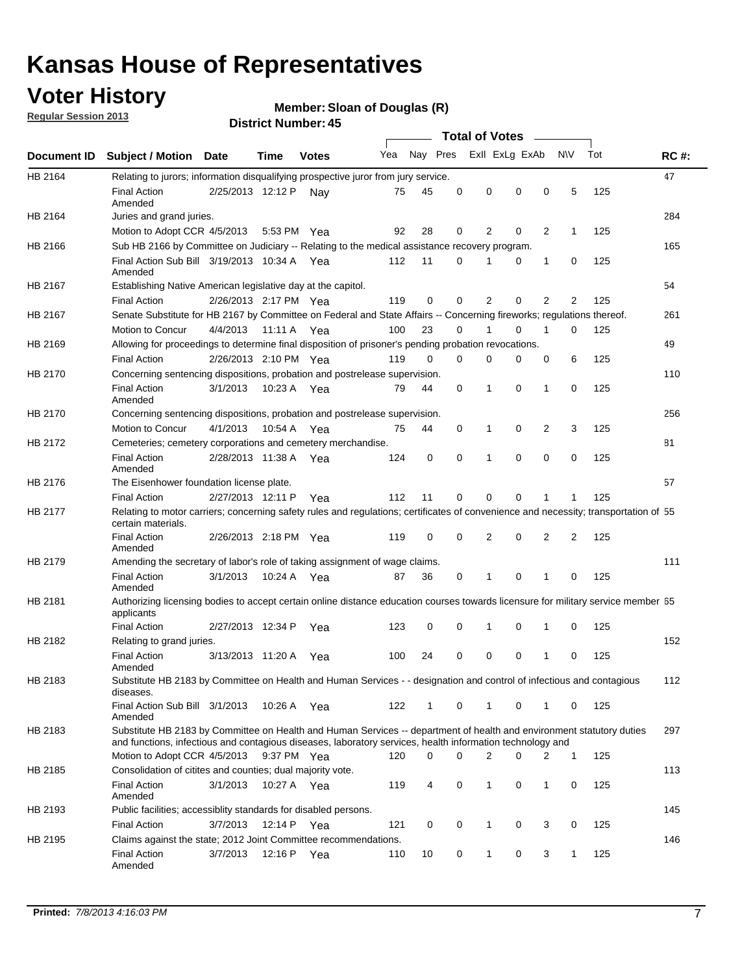### **Voter History**

**Member: Sloan of Douglas (R)** 

**Regular Session 2013**

|             |                                                                                                                                                                                                                                    |                       |             |              |     |             |          | <b>Total of Votes</b>   |          | $\sim$         |           |     |             |
|-------------|------------------------------------------------------------------------------------------------------------------------------------------------------------------------------------------------------------------------------------|-----------------------|-------------|--------------|-----|-------------|----------|-------------------------|----------|----------------|-----------|-----|-------------|
| Document ID | <b>Subject / Motion Date</b>                                                                                                                                                                                                       |                       | <b>Time</b> | <b>Votes</b> | Yea |             |          | Nay Pres Exll ExLg ExAb |          |                | <b>NV</b> | Tot | <b>RC#:</b> |
| HB 2164     | Relating to jurors; information disqualifying prospective juror from jury service.                                                                                                                                                 |                       |             |              |     |             |          |                         |          |                |           |     | 47          |
|             | <b>Final Action</b>                                                                                                                                                                                                                | 2/25/2013 12:12 P     |             | Nav          | 75  | 45          | 0        | 0                       | 0        | 0              | 5         | 125 |             |
| HB 2164     | Amended<br>Juries and grand juries.                                                                                                                                                                                                |                       |             |              |     |             |          |                         |          |                |           |     | 284         |
|             | Motion to Adopt CCR 4/5/2013                                                                                                                                                                                                       |                       | 5:53 PM Yea |              | 92  | 28          | 0        | $\overline{2}$          | 0        | $\overline{2}$ | 1         | 125 |             |
| HB 2166     | Sub HB 2166 by Committee on Judiciary -- Relating to the medical assistance recovery program.                                                                                                                                      |                       |             |              |     |             |          |                         |          |                |           |     | 165         |
|             | Final Action Sub Bill 3/19/2013 10:34 A Yea                                                                                                                                                                                        |                       |             |              | 112 | 11          | 0        |                         | 0        | 1              | 0         | 125 |             |
|             | Amended                                                                                                                                                                                                                            |                       |             |              |     |             |          |                         |          |                |           |     |             |
| HB 2167     | Establishing Native American legislative day at the capitol.                                                                                                                                                                       |                       |             |              |     |             |          |                         |          |                |           |     | 54          |
|             | <b>Final Action</b>                                                                                                                                                                                                                | 2/26/2013 2:17 PM Yea |             |              | 119 | 0           | 0        | $\overline{2}$          | 0        | $\overline{2}$ | 2         | 125 |             |
| HB 2167     | Senate Substitute for HB 2167 by Committee on Federal and State Affairs -- Concerning fireworks; regulations thereof.                                                                                                              |                       |             |              |     |             |          |                         |          |                |           |     | 261         |
|             | Motion to Concur                                                                                                                                                                                                                   | 4/4/2013              | 11:11 A Yea |              | 100 | 23          | 0        | 1                       | 0        | 1              | 0         | 125 |             |
| HB 2169     | Allowing for proceedings to determine final disposition of prisoner's pending probation revocations.                                                                                                                               |                       |             |              |     |             |          |                         |          |                |           |     | 49          |
|             | <b>Final Action</b>                                                                                                                                                                                                                | 2/26/2013 2:10 PM Yea |             |              | 119 | 0           | 0        | 0                       | 0        | 0              | 6         | 125 |             |
| HB 2170     | Concerning sentencing dispositions, probation and postrelease supervision.                                                                                                                                                         |                       |             |              |     |             |          |                         |          |                |           |     | 110         |
|             | <b>Final Action</b><br>Amended                                                                                                                                                                                                     | 3/1/2013              | 10:23 A Yea |              | 79  | 44          | 0        | 1                       | 0        | 1              | 0         | 125 |             |
| HB 2170     | Concerning sentencing dispositions, probation and postrelease supervision.                                                                                                                                                         |                       |             |              |     |             |          |                         |          |                |           |     | 256         |
|             | Motion to Concur                                                                                                                                                                                                                   | 4/1/2013              | 10:54 A Yea |              | 75  | 44          | 0        | 1                       | 0        | 2              | 3         | 125 |             |
| HB 2172     | Cemeteries; cemetery corporations and cemetery merchandise.                                                                                                                                                                        |                       |             |              |     |             |          |                         |          |                |           |     | 81          |
|             | <b>Final Action</b><br>Amended                                                                                                                                                                                                     | 2/28/2013 11:38 A Yea |             |              | 124 | $\mathbf 0$ | $\Omega$ |                         | $\Omega$ | $\Omega$       | 0         | 125 |             |
| HB 2176     | The Eisenhower foundation license plate.                                                                                                                                                                                           |                       |             |              |     |             |          |                         |          |                |           |     | 57          |
|             | <b>Final Action</b>                                                                                                                                                                                                                | 2/27/2013 12:11 P     |             | Yea          | 112 | 11          | 0        | 0                       | 0        |                | 1         | 125 |             |
| HB 2177     | Relating to motor carriers; concerning safety rules and regulations; certificates of convenience and necessity; transportation of 55<br>certain materials.                                                                         |                       |             |              |     |             |          |                         |          |                |           |     |             |
|             | <b>Final Action</b><br>Amended                                                                                                                                                                                                     | 2/26/2013 2:18 PM Yea |             |              | 119 | 0           | 0        | $\overline{2}$          | 0        | 2              | 2         | 125 |             |
| HB 2179     | Amending the secretary of labor's role of taking assignment of wage claims.                                                                                                                                                        |                       |             |              |     |             |          |                         |          |                |           |     | 111         |
|             | <b>Final Action</b><br>Amended                                                                                                                                                                                                     | 3/1/2013              | 10:24 A Yea |              | 87  | 36          | 0        | 1                       | 0        | 1              | 0         | 125 |             |
| HB 2181     | Authorizing licensing bodies to accept certain online distance education courses towards licensure for military service member 55<br>applicants                                                                                    |                       |             |              |     |             |          |                         |          |                |           |     |             |
|             | <b>Final Action</b>                                                                                                                                                                                                                | 2/27/2013 12:34 P     |             | Yea          | 123 | 0           | 0        | 1                       | 0        | 1              | 0         | 125 |             |
| HB 2182     | Relating to grand juries.                                                                                                                                                                                                          |                       |             |              |     |             |          |                         |          |                |           |     | 152         |
|             | <b>Final Action</b><br>Amended                                                                                                                                                                                                     | 3/13/2013 11:20 A     |             | Yea          | 100 | 24          | 0        | 0                       | 0        | 1              | 0         | 125 |             |
| HB 2183     | Substitute HB 2183 by Committee on Health and Human Services - - designation and control of infectious and contagious<br>diseases.                                                                                                 |                       |             |              |     |             |          |                         |          |                |           |     | 112         |
|             | Final Action Sub Bill 3/1/2013<br>Amended                                                                                                                                                                                          |                       | 10:26 A Yea |              | 122 | 1           | 0        | $\mathbf{1}$            | 0        | 1              | 0         | 125 |             |
| HB 2183     | Substitute HB 2183 by Committee on Health and Human Services -- department of health and environment statutory duties<br>and functions, infectious and contagious diseases, laboratory services, health information technology and |                       |             |              |     |             |          |                         |          |                |           |     | 297         |
|             | Motion to Adopt CCR 4/5/2013                                                                                                                                                                                                       |                       | 9:37 PM Yea |              | 120 | 0           | 0        | 2                       | 0        | 2              | 1         | 125 |             |
| HB 2185     | Consolidation of citites and counties; dual majority vote.                                                                                                                                                                         |                       |             |              |     |             |          |                         |          |                |           |     | 113         |
|             | <b>Final Action</b><br>Amended                                                                                                                                                                                                     | 3/1/2013              | 10:27 A Yea |              | 119 | 4           | 0        | $\mathbf{1}$            | 0        | $\mathbf{1}$   | 0         | 125 |             |
| HB 2193     | Public facilities; accessiblity standards for disabled persons.                                                                                                                                                                    |                       |             |              |     |             |          |                         |          |                |           |     | 145         |
|             | <b>Final Action</b>                                                                                                                                                                                                                | 3/7/2013              | 12:14 P     | Yea          | 121 | 0           | 0        | 1                       | 0        | 3              | 0         | 125 |             |
| HB 2195     | Claims against the state; 2012 Joint Committee recommendations.                                                                                                                                                                    |                       |             |              |     |             |          |                         |          |                |           |     | 146         |
|             | <b>Final Action</b><br>Amended                                                                                                                                                                                                     | 3/7/2013              | 12:16 P Yea |              | 110 | 10          | 0        | 1                       | 0        | 3              | 1         | 125 |             |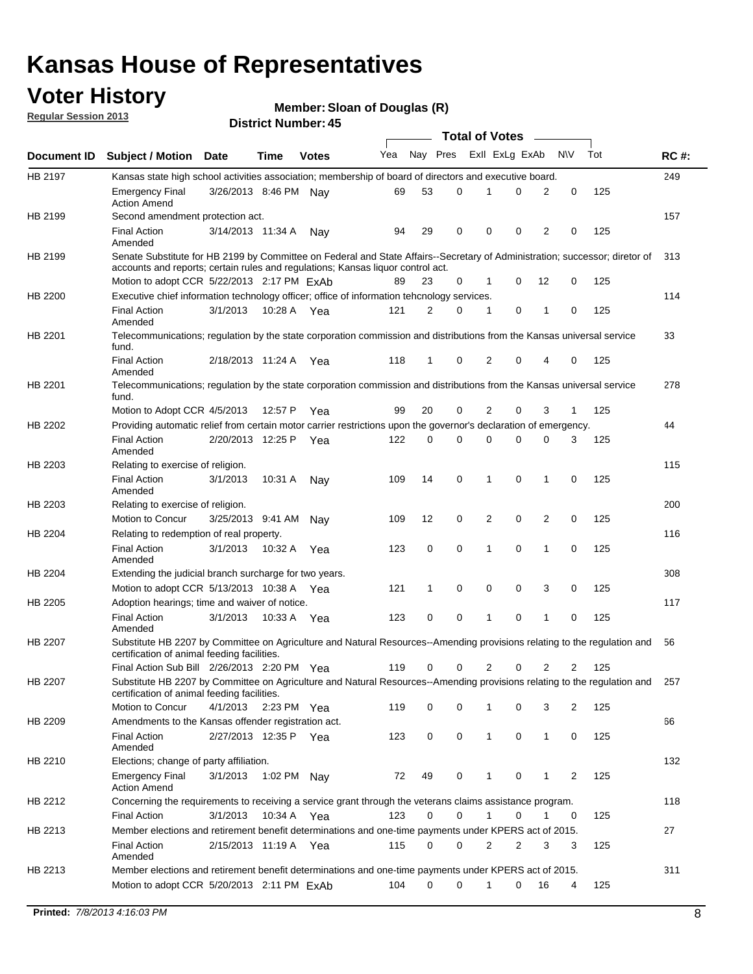### **Voter History**

**Member: Sloan of Douglas (R)** 

**Regular Session 2013**

|             |                                                                                                                                                                                                                |                       |             |              |     |              |   | <b>Total of Votes</b> |   |                |             |     |             |
|-------------|----------------------------------------------------------------------------------------------------------------------------------------------------------------------------------------------------------------|-----------------------|-------------|--------------|-----|--------------|---|-----------------------|---|----------------|-------------|-----|-------------|
| Document ID | <b>Subject / Motion Date</b>                                                                                                                                                                                   |                       | Time        | <b>Votes</b> | Yea | Nay Pres     |   | Exll ExLg ExAb        |   |                | <b>NV</b>   | Tot | <b>RC#:</b> |
| HB 2197     | Kansas state high school activities association; membership of board of directors and executive board.                                                                                                         |                       |             |              |     |              |   |                       |   |                |             |     | 249         |
|             | <b>Emergency Final</b><br><b>Action Amend</b>                                                                                                                                                                  | 3/26/2013 8:46 PM Nav |             |              | 69  | 53           | 0 |                       | 0 | 2              | 0           | 125 |             |
| HB 2199     | Second amendment protection act.                                                                                                                                                                               |                       |             |              |     |              |   |                       |   |                |             |     | 157         |
|             | <b>Final Action</b><br>Amended                                                                                                                                                                                 | 3/14/2013 11:34 A     |             | Nay          | 94  | 29           | 0 | 0                     | 0 | 2              | 0           | 125 |             |
| HB 2199     | Senate Substitute for HB 2199 by Committee on Federal and State Affairs--Secretary of Administration; successor; diretor of<br>accounts and reports; certain rules and regulations; Kansas liquor control act. |                       |             |              |     |              |   |                       |   |                |             |     | 313         |
|             | Motion to adopt CCR 5/22/2013 2:17 PM FxAb                                                                                                                                                                     |                       |             |              | 89  | 23           | 0 | 1                     | 0 | 12             | 0           | 125 |             |
| HB 2200     | Executive chief information technology officer; office of information tehcnology services.                                                                                                                     |                       |             |              |     |              |   |                       |   |                |             |     | 114         |
|             | <b>Final Action</b><br>Amended                                                                                                                                                                                 | 3/1/2013              | 10:28 A     | Yea          | 121 | 2            | 0 | 1                     | 0 | 1              | 0           | 125 |             |
| HB 2201     | Telecommunications; regulation by the state corporation commission and distributions from the Kansas universal service<br>fund.                                                                                |                       |             |              |     |              |   |                       |   |                |             |     | 33          |
|             | <b>Final Action</b><br>Amended                                                                                                                                                                                 | 2/18/2013 11:24 A     |             | Yea          | 118 | $\mathbf{1}$ | 0 | 2                     | 0 | 4              | 0           | 125 |             |
| HB 2201     | Telecommunications; regulation by the state corporation commission and distributions from the Kansas universal service<br>fund.                                                                                |                       |             |              |     |              |   |                       |   |                |             |     | 278         |
|             | Motion to Adopt CCR 4/5/2013                                                                                                                                                                                   |                       | 12:57 P     | Yea          | 99  | 20           | 0 | 2                     | 0 | 3              | 1           | 125 |             |
| HB 2202     | Providing automatic relief from certain motor carrier restrictions upon the governor's declaration of emergency.                                                                                               |                       |             |              |     |              |   |                       |   |                |             |     | 44          |
|             | <b>Final Action</b><br>Amended                                                                                                                                                                                 | 2/20/2013 12:25 P     |             | Yea          | 122 | 0            | 0 | 0                     | 0 | 0              | 3           | 125 |             |
| HB 2203     | Relating to exercise of religion.                                                                                                                                                                              |                       |             |              |     |              |   |                       |   |                |             |     | 115         |
|             | <b>Final Action</b><br>Amended                                                                                                                                                                                 | 3/1/2013              | 10:31 A     | Nay          | 109 | 14           | 0 | 1                     | 0 | 1              | 0           | 125 |             |
| HB 2203     | Relating to exercise of religion.                                                                                                                                                                              |                       |             |              |     |              |   |                       |   |                |             |     | 200         |
|             | Motion to Concur                                                                                                                                                                                               | 3/25/2013 9:41 AM     |             | Nav          | 109 | 12           | 0 | 2                     | 0 | $\overline{2}$ | 0           | 125 |             |
| HB 2204     | Relating to redemption of real property.                                                                                                                                                                       |                       |             |              |     |              |   |                       |   |                |             |     | 116         |
|             | <b>Final Action</b><br>Amended                                                                                                                                                                                 | 3/1/2013              | 10:32 A     | Yea          | 123 | 0            | 0 | 1                     | 0 | $\mathbf{1}$   | $\mathbf 0$ | 125 |             |
| HB 2204     | Extending the judicial branch surcharge for two years.                                                                                                                                                         |                       |             |              |     |              |   |                       |   |                |             |     | 308         |
|             | Motion to adopt CCR 5/13/2013 10:38 A Yea                                                                                                                                                                      |                       |             |              | 121 | 1            | 0 | 0                     | 0 | 3              | 0           | 125 |             |
| HB 2205     | Adoption hearings; time and waiver of notice.                                                                                                                                                                  |                       |             |              |     |              |   |                       |   |                |             |     | 117         |
|             | <b>Final Action</b><br>Amended                                                                                                                                                                                 | 3/1/2013              | 10:33 A Yea |              | 123 | 0            | 0 | 1                     | 0 | 1              | 0           | 125 |             |
| HB 2207     | Substitute HB 2207 by Committee on Agriculture and Natural Resources--Amending provisions relating to the regulation and<br>certification of animal feeding facilities.                                        |                       |             |              |     |              |   |                       |   |                |             |     | 56          |
|             | Final Action Sub Bill 2/26/2013 2:20 PM Yea                                                                                                                                                                    |                       |             |              | 119 | 0            | 0 | 2                     | 0 | 2              | 2           | 125 |             |
| HB 2207     | Substitute HB 2207 by Committee on Agriculture and Natural Resources--Amending provisions relating to the regulation and 257<br>certification of animal feeding facilities.                                    |                       |             |              |     |              |   |                       |   |                |             |     |             |
|             | Motion to Concur                                                                                                                                                                                               | 4/1/2013              | 2:23 PM Yea |              | 119 | 0            | 0 | 1                     | 0 | 3              | 2           | 125 |             |
| HB 2209     | Amendments to the Kansas offender registration act.                                                                                                                                                            |                       |             |              |     |              |   |                       |   |                |             |     | 66          |
|             | Final Action<br>Amended                                                                                                                                                                                        | 2/27/2013 12:35 P Yea |             |              | 123 | 0            | 0 | $\mathbf{1}$          | 0 | $\mathbf{1}$   | 0           | 125 |             |
| HB 2210     | Elections; change of party affiliation.                                                                                                                                                                        |                       |             |              |     |              |   |                       |   |                |             |     | 132         |
|             | <b>Emergency Final</b><br><b>Action Amend</b>                                                                                                                                                                  | 3/1/2013              | 1:02 PM Nay |              | 72  | 49           | 0 | 1                     | 0 | 1              | 2           | 125 |             |
| HB 2212     | Concerning the requirements to receiving a service grant through the veterans claims assistance program.<br><b>Final Action</b>                                                                                | 3/1/2013              | 10:34 A Yea |              | 123 | 0            | 0 | $\mathbf{1}$          | 0 | 1              | 0           | 125 | 118         |
| HB 2213     | Member elections and retirement benefit determinations and one-time payments under KPERS act of 2015.                                                                                                          |                       |             |              |     |              |   |                       |   |                |             |     | 27          |
|             | <b>Final Action</b><br>Amended                                                                                                                                                                                 | 2/15/2013 11:19 A Yea |             |              | 115 | 0            | 0 | 2                     | 2 | 3              | 3           | 125 |             |
| HB 2213     | Member elections and retirement benefit determinations and one-time payments under KPERS act of 2015.                                                                                                          |                       |             |              |     |              |   |                       |   |                |             |     | 311         |
|             | Motion to adopt CCR 5/20/2013 2:11 PM ExAb                                                                                                                                                                     |                       |             |              | 104 | $\Omega$     | 0 | $\mathbf 1$           | 0 | 16             | 4           | 125 |             |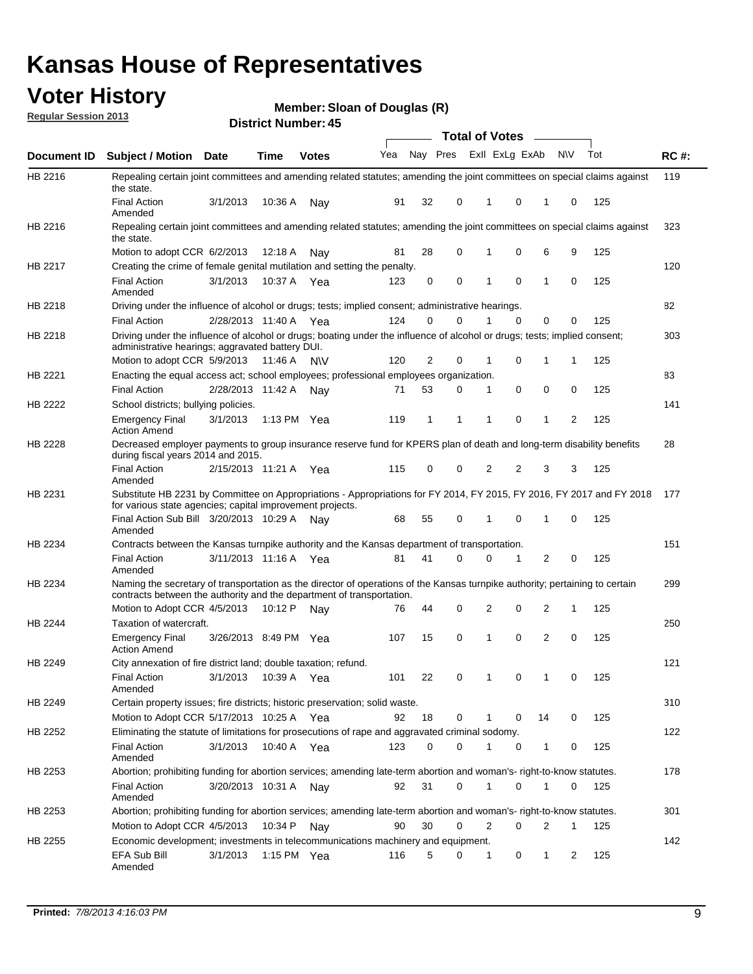### **Voter History**

**Member: Sloan of Douglas (R)** 

**Regular Session 2013**

|             |                                                                                                                                                                                                       |                       |               |              |     |                |          | <b>Total of Votes</b> |          | $\overline{\phantom{a}}$ |           |     |             |
|-------------|-------------------------------------------------------------------------------------------------------------------------------------------------------------------------------------------------------|-----------------------|---------------|--------------|-----|----------------|----------|-----------------------|----------|--------------------------|-----------|-----|-------------|
| Document ID | Subject / Motion Date                                                                                                                                                                                 |                       | <b>Time</b>   | <b>Votes</b> | Yea | Nay Pres       |          | Exll ExLg ExAb        |          |                          | <b>NV</b> | Tot | <b>RC#:</b> |
| HB 2216     | Repealing certain joint committees and amending related statutes; amending the joint committees on special claims against<br>the state.                                                               |                       |               |              |     |                |          |                       |          |                          |           |     | 119         |
|             | <b>Final Action</b><br>Amended                                                                                                                                                                        | 3/1/2013              | 10:36 A       | Nay          | 91  | 32             | 0        | 1                     | 0        | 1                        | 0         | 125 |             |
| HB 2216     | Repealing certain joint committees and amending related statutes; amending the joint committees on special claims against<br>the state.                                                               |                       |               |              |     |                |          |                       |          |                          |           |     | 323         |
|             | Motion to adopt CCR 6/2/2013                                                                                                                                                                          |                       | 12:18 A       | Nav          | 81  | 28             | 0        | 1                     | 0        | 6                        | 9         | 125 |             |
| HB 2217     | Creating the crime of female genital mutilation and setting the penalty.                                                                                                                              |                       |               |              |     |                |          |                       |          |                          |           |     | 120         |
|             | <b>Final Action</b><br>Amended                                                                                                                                                                        | 3/1/2013              | 10:37 A Yea   |              | 123 | 0              | 0        | 1                     | 0        | 1                        | 0         | 125 |             |
| HB 2218     | Driving under the influence of alcohol or drugs; tests; implied consent; administrative hearings.                                                                                                     |                       |               |              |     |                |          |                       |          |                          |           |     | 82          |
|             | <b>Final Action</b>                                                                                                                                                                                   | 2/28/2013 11:40 A Yea |               |              | 124 | 0              | $\Omega$ |                       | $\Omega$ | 0                        | 0         | 125 |             |
| HB 2218     | Driving under the influence of alcohol or drugs; boating under the influence of alcohol or drugs; tests; implied consent;<br>administrative hearings; aggravated battery DUI.                         |                       |               |              |     |                |          |                       |          |                          |           |     | 303         |
|             | Motion to adopt CCR 5/9/2013                                                                                                                                                                          |                       | 11:46 A       | <b>NV</b>    | 120 | $\overline{2}$ | 0        | 1                     | 0        | 1                        | 1         | 125 |             |
| HB 2221     | Enacting the equal access act; school employees; professional employees organization.                                                                                                                 |                       |               |              |     |                |          |                       |          |                          |           |     | 83          |
|             | <b>Final Action</b>                                                                                                                                                                                   | 2/28/2013 11:42 A     |               | Nay          | 71  | 53             | 0        | 1                     | 0        | 0                        | 0         | 125 |             |
| HB 2222     | School districts; bullying policies.<br>Emergency Final<br><b>Action Amend</b>                                                                                                                        | 3/1/2013              | 1:13 PM $Yea$ |              | 119 | 1              | 1        | 1                     | 0        | 1                        | 2         | 125 | 141         |
| HB 2228     | Decreased employer payments to group insurance reserve fund for KPERS plan of death and long-term disability benefits<br>during fiscal years 2014 and 2015.                                           |                       |               |              |     |                |          |                       |          |                          |           |     | 28          |
|             | <b>Final Action</b><br>Amended                                                                                                                                                                        | 2/15/2013 11:21 A Yea |               |              | 115 | 0              | 0        | 2                     | 2        | 3                        | 3         | 125 |             |
| HB 2231     | Substitute HB 2231 by Committee on Appropriations - Appropriations for FY 2014, FY 2015, FY 2016, FY 2017 and FY 2018 177<br>for various state agencies; capital improvement projects.                |                       |               |              |     |                |          |                       |          |                          |           |     |             |
|             | Final Action Sub Bill 3/20/2013 10:29 A Nay<br>Amended                                                                                                                                                |                       |               |              | 68  | 55             | 0        | 1                     | 0        | 1                        | 0         | 125 |             |
| HB 2234     | Contracts between the Kansas turnpike authority and the Kansas department of transportation.                                                                                                          |                       |               |              |     |                |          |                       |          |                          |           |     | 151         |
|             | <b>Final Action</b><br>Amended                                                                                                                                                                        | 3/11/2013 11:16 A     |               | Yea          | 81  | 41             | 0        | 0                     | 1        | 2                        | 0         | 125 |             |
| HB 2234     | Naming the secretary of transportation as the director of operations of the Kansas turnpike authority; pertaining to certain<br>contracts between the authority and the department of transportation. |                       |               |              |     |                |          |                       |          |                          |           |     | 299         |
|             | Motion to Adopt CCR 4/5/2013                                                                                                                                                                          |                       | 10:12 P       | Nav          | 76  | 44             | 0        | 2                     | 0        | 2                        | 1         | 125 |             |
| HB 2244     | Taxation of watercraft.<br><b>Emergency Final</b>                                                                                                                                                     | 3/26/2013 8:49 PM Yea |               |              | 107 | 15             | 0        | 1                     | 0        | 2                        | 0         | 125 | 250         |
| HB 2249     | <b>Action Amend</b><br>City annexation of fire district land; double taxation; refund.                                                                                                                |                       |               |              |     |                |          |                       |          |                          |           |     | 121         |
|             | Final Action<br>Amended                                                                                                                                                                               | 3/1/2013 10:39 A Yea  |               |              | 101 | 22             | 0        | $\mathbf{1}$          | $\cap$   | 1                        | $\Omega$  | 125 |             |
| HB 2249     | Certain property issues; fire districts; historic preservation; solid waste.                                                                                                                          |                       |               |              |     |                |          |                       |          |                          |           |     | 310         |
|             | Motion to Adopt CCR 5/17/2013 10:25 A Yea                                                                                                                                                             |                       |               |              | 92  | 18             | 0        |                       | 0        | 14                       | 0         | 125 |             |
| HB 2252     | Eliminating the statute of limitations for prosecutions of rape and aggravated criminal sodomy.                                                                                                       |                       |               |              |     |                |          |                       |          |                          |           |     | 122         |
|             | <b>Final Action</b><br>Amended                                                                                                                                                                        | 3/1/2013              | 10:40 A Yea   |              | 123 | 0              | 0        |                       | 0        | 1                        | 0         | 125 |             |
| HB 2253     | Abortion; prohibiting funding for abortion services; amending late-term abortion and woman's- right-to-know statutes.                                                                                 |                       |               |              |     |                |          |                       |          |                          |           |     | 178         |
|             | <b>Final Action</b><br>Amended                                                                                                                                                                        | 3/20/2013 10:31 A     |               | Nav          | 92  | 31             | 0        | 1                     | 0        | 1                        | 0         | 125 |             |
| HB 2253     | Abortion; prohibiting funding for abortion services; amending late-term abortion and woman's- right-to-know statutes.                                                                                 |                       |               |              |     |                |          |                       |          |                          |           |     | 301         |
|             | Motion to Adopt CCR 4/5/2013                                                                                                                                                                          |                       | 10:34 P Nay   |              | 90  | 30             | 0        | 2                     | 0        | 2                        | 1         | 125 |             |
| HB 2255     | Economic development; investments in telecommunications machinery and equipment.                                                                                                                      |                       |               |              |     |                |          |                       |          |                          |           |     | 142         |
|             | EFA Sub Bill<br>Amended                                                                                                                                                                               | 3/1/2013              |               | 1:15 PM Yea  | 116 | 5              | 0        | -1                    | 0        | 1                        | 2         | 125 |             |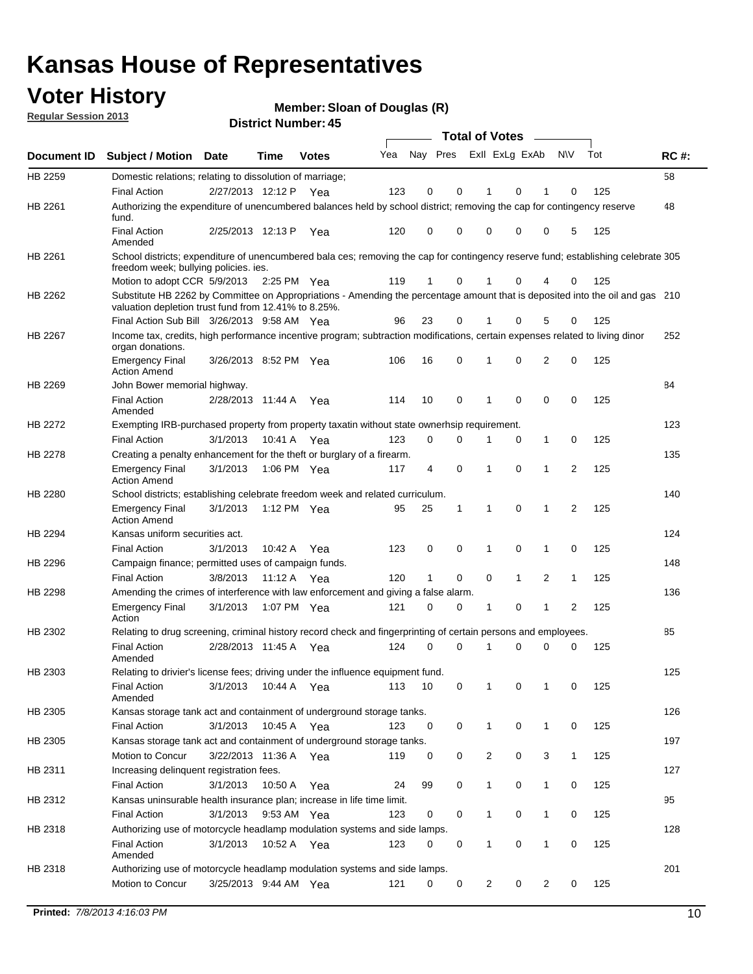### **Voter History**

**Member: Sloan of Douglas (R)** 

**Regular Session 2013**

|                    |                                                                                                                                                                                       |                       | ט <del>ד</del> . וסעווואזו וטוש |              |     |                         |             | <b>Total of Votes</b> |              | $\sim$         |              |     |             |
|--------------------|---------------------------------------------------------------------------------------------------------------------------------------------------------------------------------------|-----------------------|---------------------------------|--------------|-----|-------------------------|-------------|-----------------------|--------------|----------------|--------------|-----|-------------|
| <b>Document ID</b> | <b>Subject / Motion</b>                                                                                                                                                               | Date                  | Time                            | <b>Votes</b> | Yea | Nay Pres Exll ExLg ExAb |             |                       |              |                | N\V          | Tot | <b>RC#:</b> |
| HB 2259            | Domestic relations; relating to dissolution of marriage;                                                                                                                              |                       |                                 |              |     |                         |             |                       |              |                |              |     | 58          |
|                    | <b>Final Action</b>                                                                                                                                                                   | 2/27/2013 12:12 P     |                                 | Yea          | 123 | 0                       | 0           | 1                     | 0            | 1              | $\Omega$     | 125 |             |
| HB 2261            | Authorizing the expenditure of unencumbered balances held by school district; removing the cap for contingency reserve<br>fund.                                                       |                       |                                 |              |     |                         |             |                       |              |                |              |     | 48          |
|                    | <b>Final Action</b><br>Amended                                                                                                                                                        | 2/25/2013 12:13 P     |                                 | Yea          | 120 | 0                       | 0           | 0                     | 0            | 0              | 5            | 125 |             |
| HB 2261            | School districts; expenditure of unencumbered bala ces; removing the cap for contingency reserve fund; establishing celebrate 305<br>freedom week; bullying policies. ies.            |                       |                                 |              |     |                         |             |                       |              |                |              |     |             |
|                    | Motion to adopt CCR 5/9/2013                                                                                                                                                          |                       | 2:25 PM Yea                     |              | 119 | 1                       | 0           |                       | 0            | 4              | 0            | 125 |             |
| HB 2262            | Substitute HB 2262 by Committee on Appropriations - Amending the percentage amount that is deposited into the oil and gas 210<br>valuation depletion trust fund from 12.41% to 8.25%. |                       |                                 |              |     |                         |             |                       |              |                |              |     |             |
|                    | Final Action Sub Bill 3/26/2013 9:58 AM Yea                                                                                                                                           |                       |                                 |              | 96  | 23                      | 0           |                       | 0            | 5              | 0            | 125 |             |
| HB 2267            | Income tax, credits, high performance incentive program; subtraction modifications, certain expenses related to living dinor<br>organ donations.                                      |                       |                                 |              |     |                         |             |                       |              |                |              |     | 252         |
|                    | <b>Emergency Final</b><br><b>Action Amend</b>                                                                                                                                         | 3/26/2013 8:52 PM Yea |                                 |              | 106 | 16                      | 0           | 1                     | 0            | 2              | 0            | 125 |             |
| HB 2269            | John Bower memorial highway.                                                                                                                                                          |                       |                                 |              |     |                         |             |                       |              |                |              |     | 84          |
|                    | <b>Final Action</b><br>Amended                                                                                                                                                        | 2/28/2013 11:44 A Yea |                                 |              | 114 | 10                      | 0           | 1                     | 0            | 0              | 0            | 125 |             |
| HB 2272            | Exempting IRB-purchased property from property taxatin without state ownerhsip requirement.                                                                                           |                       |                                 |              |     |                         |             |                       |              |                |              |     | 123         |
|                    | <b>Final Action</b>                                                                                                                                                                   | 3/1/2013              | 10:41 A Yea                     |              | 123 | 0                       | 0           | 1                     | 0            | $\mathbf{1}$   | 0            | 125 |             |
| HB 2278            | Creating a penalty enhancement for the theft or burglary of a firearm.                                                                                                                |                       |                                 |              |     |                         |             |                       |              |                |              |     | 135         |
|                    | <b>Emergency Final</b><br><b>Action Amend</b>                                                                                                                                         | 3/1/2013              | 1:06 PM Yea                     |              | 117 | 4                       | $\mathbf 0$ | $\mathbf 1$           | $\Omega$     | 1              | 2            | 125 |             |
| HB 2280            | School districts; establishing celebrate freedom week and related curriculum.                                                                                                         |                       |                                 |              |     |                         |             |                       |              |                |              |     | 140         |
|                    | <b>Emergency Final</b><br><b>Action Amend</b>                                                                                                                                         | 3/1/2013              | 1:12 PM Yea                     |              | 95  | 25                      | 1           | 1                     | 0            | 1              | 2            | 125 |             |
| HB 2294            | Kansas uniform securities act.                                                                                                                                                        |                       |                                 |              |     |                         |             |                       |              |                |              |     | 124         |
|                    | <b>Final Action</b>                                                                                                                                                                   | 3/1/2013              | 10:42 A Yea                     |              | 123 | 0                       | 0           | 1                     | $\mathbf 0$  | $\mathbf{1}$   | 0            | 125 |             |
| HB 2296            | Campaign finance; permitted uses of campaign funds.                                                                                                                                   |                       |                                 |              |     |                         |             |                       |              |                |              |     | 148         |
|                    | <b>Final Action</b>                                                                                                                                                                   | 3/8/2013              | 11:12 A Yea                     |              | 120 | $\mathbf{1}$            | 0           | 0                     | $\mathbf{1}$ | $\overline{2}$ | $\mathbf{1}$ | 125 |             |
| HB 2298            | Amending the crimes of interference with law enforcement and giving a false alarm.                                                                                                    |                       |                                 |              |     |                         |             |                       |              |                |              |     | 136         |
|                    | <b>Emergency Final</b><br>Action                                                                                                                                                      | 3/1/2013              | 1:07 PM Yea                     |              | 121 | 0                       | 0           | 1                     | 0            | $\mathbf{1}$   | 2            | 125 |             |
| HB 2302            | Relating to drug screening, criminal history record check and fingerprinting of certain persons and employees.                                                                        |                       |                                 |              |     |                         |             |                       |              |                |              |     | 85          |
|                    | <b>Final Action</b><br>Amended                                                                                                                                                        | 2/28/2013 11:45 A Yea |                                 |              | 124 | 0                       | $\Omega$    | 1                     | 0            | 0              | $\mathbf 0$  | 125 |             |
| HB 2303            | Relating to drivier's license fees; driving under the influence equipment fund.                                                                                                       |                       |                                 |              |     |                         |             |                       |              |                |              |     | 125         |
|                    | <b>Final Action</b><br>Amended                                                                                                                                                        | 3/1/2013              | 10:44 A                         | Yea          | 113 | 10                      | 0           | $\mathbf 1$           | 0            | 1              | 0            | 125 |             |
| HB 2305            | Kansas storage tank act and containment of underground storage tanks.                                                                                                                 |                       |                                 |              |     |                         |             |                       |              |                |              |     | 126         |
|                    | <b>Final Action</b>                                                                                                                                                                   | 3/1/2013              | 10:45 A                         | Yea          | 123 | 0                       | 0           | 1                     | 0            | 1              | 0            | 125 |             |
| HB 2305            | Kansas storage tank act and containment of underground storage tanks.                                                                                                                 |                       |                                 |              |     |                         |             |                       |              |                |              |     | 197         |
|                    | Motion to Concur                                                                                                                                                                      | 3/22/2013 11:36 A     |                                 | Yea          | 119 | 0                       | 0           | 2                     | 0            | 3              | $\mathbf{1}$ | 125 |             |
| HB 2311            | Increasing delinquent registration fees.                                                                                                                                              |                       |                                 |              |     |                         |             |                       |              |                |              |     | 127         |
|                    | <b>Final Action</b>                                                                                                                                                                   | 3/1/2013              | 10:50 A                         | Yea          | 24  | 99                      | 0           | $\mathbf{1}$          | 0            | $\mathbf{1}$   | 0            | 125 |             |
| HB 2312            | Kansas uninsurable health insurance plan; increase in life time limit.                                                                                                                |                       |                                 |              |     |                         |             |                       |              |                |              |     | 95          |
|                    | <b>Final Action</b>                                                                                                                                                                   | 3/1/2013              | 9:53 AM Yea                     |              | 123 | 0                       | 0           | 1                     | 0            | 1              | 0            | 125 |             |
| HB 2318            | Authorizing use of motorcycle headlamp modulation systems and side lamps.                                                                                                             |                       |                                 |              |     |                         |             |                       |              |                |              |     | 128         |
|                    | <b>Final Action</b><br>Amended                                                                                                                                                        | 3/1/2013              | 10:52 A Yea                     |              | 123 | 0                       | 0           | 1                     | 0            | $\mathbf{1}$   | 0            | 125 |             |
| HB 2318            | Authorizing use of motorcycle headlamp modulation systems and side lamps.                                                                                                             |                       |                                 |              |     |                         |             |                       |              |                |              |     | 201         |
|                    | Motion to Concur                                                                                                                                                                      | 3/25/2013 9:44 AM Yea |                                 |              | 121 | 0                       | 0           | 2                     | 0            | 2              | 0            | 125 |             |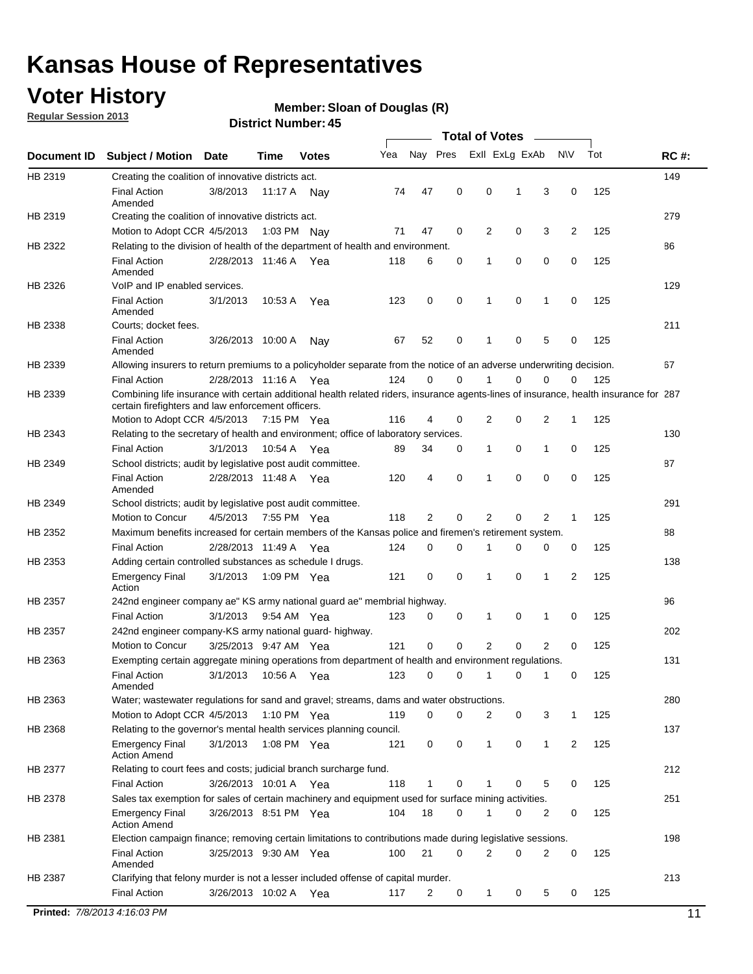### **Voter History**

**Member: Sloan of Douglas (R)** 

**Regular Session 2013**

|             |                                                                                                                                                                                             |                       |             |               |     |             |             | <b>Total of Votes</b> |   |                |           |     |             |
|-------------|---------------------------------------------------------------------------------------------------------------------------------------------------------------------------------------------|-----------------------|-------------|---------------|-----|-------------|-------------|-----------------------|---|----------------|-----------|-----|-------------|
| Document ID | <b>Subject / Motion</b>                                                                                                                                                                     | <b>Date</b>           | Time        | <b>Votes</b>  | Yea | Nay Pres    |             | Exll ExLg ExAb        |   |                | <b>NV</b> | Tot | <b>RC#:</b> |
| HB 2319     | Creating the coalition of innovative districts act.                                                                                                                                         |                       |             |               |     |             |             |                       |   |                |           |     | 149         |
|             | <b>Final Action</b><br>Amended                                                                                                                                                              | 3/8/2013              | 11:17 A     | Nav           | 74  | 47          | 0           | 0                     | 1 | 3              | 0         | 125 |             |
| HB 2319     | Creating the coalition of innovative districts act.                                                                                                                                         |                       |             |               |     |             |             |                       |   |                |           |     | 279         |
|             | Motion to Adopt CCR 4/5/2013                                                                                                                                                                |                       |             | 1:03 PM Nay   | 71  | 47          | 0           | 2                     | 0 | 3              | 2         | 125 |             |
| HB 2322     | Relating to the division of health of the department of health and environment.                                                                                                             |                       |             |               |     |             |             |                       |   |                |           |     | 86          |
|             | <b>Final Action</b>                                                                                                                                                                         | 2/28/2013 11:46 A Yea |             |               | 118 | 6           | 0           | 1                     | 0 | 0              | 0         | 125 |             |
| HB 2326     | Amended<br>VoIP and IP enabled services.                                                                                                                                                    |                       |             |               |     |             |             |                       |   |                |           |     | 129         |
|             | <b>Final Action</b>                                                                                                                                                                         | 3/1/2013              | 10.53 A     | Yea           | 123 | $\mathbf 0$ | 0           | $\mathbf{1}$          | 0 | 1              | 0         | 125 |             |
|             | Amended                                                                                                                                                                                     |                       |             |               |     |             |             |                       |   |                |           |     |             |
| HB 2338     | Courts; docket fees.                                                                                                                                                                        |                       |             |               |     |             |             |                       |   |                |           |     | 211         |
|             | <b>Final Action</b><br>Amended                                                                                                                                                              | 3/26/2013 10:00 A     |             | Nav           | 67  | 52          | 0           | $\mathbf 1$           | 0 | 5              | 0         | 125 |             |
| HB 2339     | Allowing insurers to return premiums to a policyholder separate from the notice of an adverse underwriting decision.                                                                        |                       |             |               |     |             |             |                       |   |                |           |     | 67          |
|             | <b>Final Action</b>                                                                                                                                                                         | 2/28/2013 11:16 A Yea |             |               | 124 | 0           | 0           |                       | 0 | 0              | 0         | 125 |             |
| HB 2339     | Combining life insurance with certain additional health related riders, insurance agents-lines of insurance, health insurance for 287<br>certain firefighters and law enforcement officers. |                       |             |               |     |             |             |                       |   |                |           |     |             |
|             | Motion to Adopt CCR 4/5/2013 7:15 PM Yea                                                                                                                                                    |                       |             |               | 116 | 4           | 0           | 2                     | 0 | 2              | -1        | 125 |             |
| HB 2343     | Relating to the secretary of health and environment; office of laboratory services.                                                                                                         |                       |             |               |     |             |             |                       |   |                |           |     | 130         |
|             | <b>Final Action</b>                                                                                                                                                                         | 3/1/2013              | 10:54 A Yea |               | 89  | 34          | 0           | 1                     | 0 | $\mathbf{1}$   | 0         | 125 |             |
| HB 2349     | School districts; audit by legislative post audit committee.                                                                                                                                |                       |             |               |     |             |             |                       |   |                |           |     | 87          |
|             | <b>Final Action</b><br>Amended                                                                                                                                                              | 2/28/2013 11:48 A Yea |             |               | 120 | 4           | $\mathbf 0$ | $\mathbf{1}$          | 0 | $\mathbf 0$    | 0         | 125 |             |
| HB 2349     | School districts; audit by legislative post audit committee.                                                                                                                                |                       |             |               |     |             |             |                       |   |                |           |     | 291         |
|             | Motion to Concur                                                                                                                                                                            | 4/5/2013              |             | 7:55 PM Yea   | 118 | 2           | 0           | 2                     | 0 | 2              | 1         | 125 |             |
| HB 2352     | Maximum benefits increased for certain members of the Kansas police and firemen's retirement system.                                                                                        |                       |             |               |     |             |             |                       |   |                |           |     | 88          |
|             | <b>Final Action</b>                                                                                                                                                                         | 2/28/2013 11:49 A     |             | Yea           | 124 | 0           | 0           | 1                     | 0 | 0              | 0         | 125 |             |
| HB 2353     | Adding certain controlled substances as schedule I drugs.                                                                                                                                   |                       |             |               |     |             |             |                       |   |                |           |     | 138         |
|             | Emergency Final<br>Action                                                                                                                                                                   | 3/1/2013              |             | 1:09 PM Yea   | 121 | 0           | 0           | $\mathbf{1}$          | 0 | 1              | 2         | 125 |             |
| HB 2357     | 242nd engineer company ae" KS army national guard ae" membrial highway.                                                                                                                     |                       |             |               |     |             |             |                       |   |                |           |     | 96          |
|             | <b>Final Action</b>                                                                                                                                                                         | 3/1/2013              |             | 9:54 AM Yea   | 123 | 0           | 0           | 1                     | 0 | 1              | 0         | 125 |             |
| HB 2357     | 242nd engineer company-KS army national guard- highway.                                                                                                                                     |                       |             |               |     |             |             |                       |   |                |           |     | 202         |
|             | Motion to Concur                                                                                                                                                                            | 3/25/2013 9:47 AM Yea |             |               | 121 | $\mathbf 0$ | $\mathbf 0$ | 2                     | 0 | $\overline{2}$ | 0         | 125 |             |
| HB 2363     | Exempting certain aggregate mining operations from department of health and environment regulations.                                                                                        |                       |             |               |     |             |             |                       |   |                |           |     | 131         |
|             | <b>Final Action</b><br>Amended                                                                                                                                                              | 3/1/2013              | 10:56 A     | Yea           | 123 | 0           | 0           | 1                     | 0 | 1              | 0         | 125 |             |
| HB 2363     | Water; wastewater regulations for sand and gravel; streams, dams and water obstructions.                                                                                                    |                       |             |               |     |             |             |                       |   |                |           |     | 280         |
|             | Motion to Adopt CCR 4/5/2013                                                                                                                                                                |                       |             | 1:10 PM $Yea$ | 119 | 0           | 0           | 2                     | 0 | 3              | 1         | 125 |             |
| HB 2368     | Relating to the governor's mental health services planning council.                                                                                                                         |                       |             |               |     |             |             |                       |   |                |           |     | 137         |
|             | Emergency Final<br><b>Action Amend</b>                                                                                                                                                      | 3/1/2013              |             | 1:08 PM Yea   | 121 | 0           | 0           | 1                     | 0 | $\mathbf{1}$   | 2         | 125 |             |
| HB 2377     | Relating to court fees and costs; judicial branch surcharge fund.                                                                                                                           |                       |             |               |     |             |             |                       |   |                |           |     | 212         |
|             | <b>Final Action</b>                                                                                                                                                                         | 3/26/2013 10:01 A Yea |             |               | 118 | 1           | 0           |                       | 0 | 5              | 0         | 125 |             |
| HB 2378     | Sales tax exemption for sales of certain machinery and equipment used for surface mining activities.                                                                                        |                       |             |               |     |             |             |                       |   |                |           |     | 251         |
|             | Emergency Final                                                                                                                                                                             | 3/26/2013 8:51 PM Yea |             |               | 104 | 18          | 0           | 1                     | 0 | 2              | 0         | 125 |             |
| HB 2381     | <b>Action Amend</b><br>Election campaign finance; removing certain limitations to contributions made during legislative sessions.                                                           |                       |             |               |     |             |             |                       |   |                |           |     | 198         |
|             | <b>Final Action</b>                                                                                                                                                                         | 3/25/2013 9:30 AM Yea |             |               | 100 | 21          | 0           | 2                     | 0 | 2              | 0         | 125 |             |
|             | Amended                                                                                                                                                                                     |                       |             |               |     |             |             |                       |   |                |           |     |             |
| HB 2387     | Clarifying that felony murder is not a lesser included offense of capital murder.                                                                                                           |                       |             |               |     |             |             |                       |   |                |           |     | 213         |
|             | <b>Final Action</b>                                                                                                                                                                         | 3/26/2013 10:02 A     |             | Yea           | 117 | 2           | 0           | 1                     | 0 | 5              | 0         | 125 |             |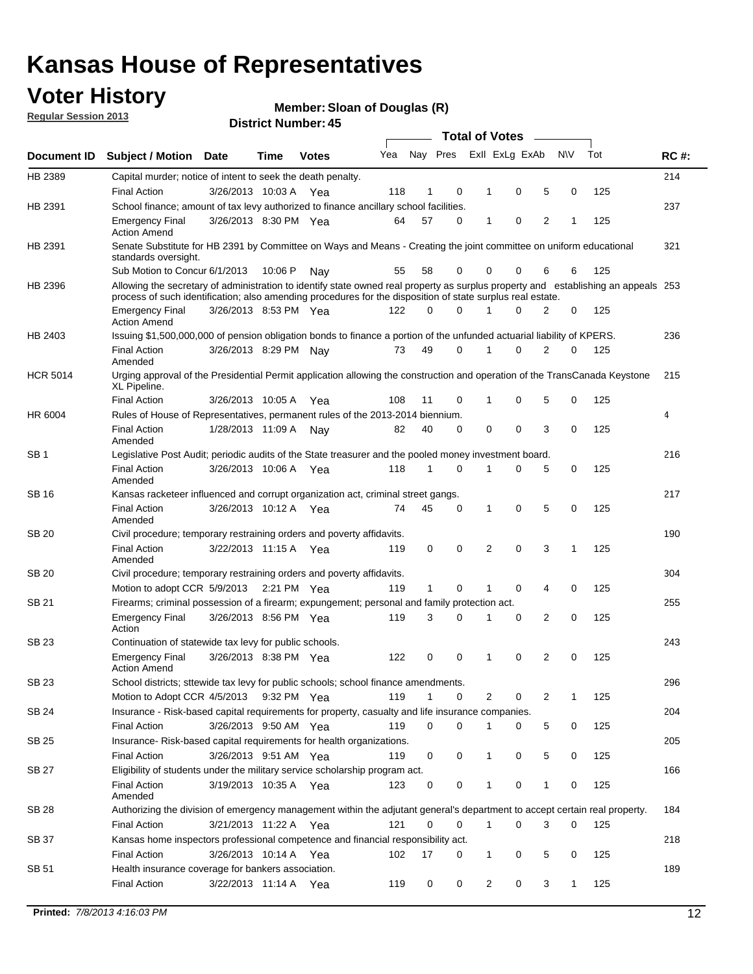### **Voter History**

**Member: Sloan of Douglas (R)** 

**Regular Session 2013**

|                    |                                                                                                                                                                                                                                                  |                       |         |              |     |    |             | <b>Total of Votes</b> |                         | $\sim$         |           |     |     |
|--------------------|--------------------------------------------------------------------------------------------------------------------------------------------------------------------------------------------------------------------------------------------------|-----------------------|---------|--------------|-----|----|-------------|-----------------------|-------------------------|----------------|-----------|-----|-----|
| <b>Document ID</b> | Subject / Motion Date                                                                                                                                                                                                                            |                       | Time    | <b>Votes</b> | Yea |    |             |                       | Nay Pres Exll ExLg ExAb |                | <b>NV</b> | Tot | RC# |
| HB 2389            | Capital murder; notice of intent to seek the death penalty.                                                                                                                                                                                      |                       |         |              |     |    |             |                       |                         |                |           |     | 214 |
|                    | <b>Final Action</b>                                                                                                                                                                                                                              | 3/26/2013 10:03 A     |         | Yea          | 118 | 1  | 0           | 1                     | 0                       | 5              | 0         | 125 |     |
| HB 2391            | School finance; amount of tax levy authorized to finance ancillary school facilities.                                                                                                                                                            |                       |         |              |     |    |             |                       |                         |                |           |     | 237 |
|                    | <b>Emergency Final</b><br><b>Action Amend</b>                                                                                                                                                                                                    | 3/26/2013 8:30 PM Yea |         |              | 64  | 57 | 0           | 1                     | 0                       | $\overline{2}$ | 1         | 125 |     |
| HB 2391            | Senate Substitute for HB 2391 by Committee on Ways and Means - Creating the joint committee on uniform educational<br>standards oversight.                                                                                                       |                       |         |              |     |    |             |                       |                         |                |           |     | 321 |
|                    | Sub Motion to Concur 6/1/2013                                                                                                                                                                                                                    |                       | 10:06 P | Nav          | 55  | 58 | 0           | 0                     | 0                       | 6              | 6         | 125 |     |
| HB 2396            | Allowing the secretary of administration to identify state owned real property as surplus property and establishing an appeals 253<br>process of such identification; also amending procedures for the disposition of state surplus real estate. |                       |         |              |     |    |             |                       |                         |                |           |     |     |
|                    | <b>Emergency Final</b><br><b>Action Amend</b>                                                                                                                                                                                                    | 3/26/2013 8:53 PM Yea |         |              | 122 | 0  | $\Omega$    |                       | $\Omega$                | 2              | 0         | 125 |     |
| HB 2403            | Issuing \$1,500,000,000 of pension obligation bonds to finance a portion of the unfunded actuarial liability of KPERS.                                                                                                                           |                       |         |              |     |    |             |                       |                         |                |           |     | 236 |
|                    | <b>Final Action</b><br>Amended                                                                                                                                                                                                                   | 3/26/2013 8:29 PM     |         | Nav          | 73  | 49 | $\Omega$    | 1                     | 0                       | 2              | 0         | 125 |     |
| <b>HCR 5014</b>    | Urging approval of the Presidential Permit application allowing the construction and operation of the TransCanada Keystone<br>XL Pipeline.                                                                                                       |                       |         |              |     |    |             |                       |                         |                |           |     | 215 |
|                    | <b>Final Action</b>                                                                                                                                                                                                                              | 3/26/2013 10:05 A     |         | Yea          | 108 | 11 | 0           | 1                     | 0                       | 5              | 0         | 125 |     |
| HR 6004            | Rules of House of Representatives, permanent rules of the 2013-2014 biennium.                                                                                                                                                                    |                       |         |              |     |    |             |                       |                         |                |           |     | 4   |
|                    | <b>Final Action</b><br>Amended                                                                                                                                                                                                                   | 1/28/2013 11:09 A     |         | Nav          | 82  | 40 | $\Omega$    | 0                     | 0                       | 3              | $\Omega$  | 125 |     |
| SB 1               | Legislative Post Audit; periodic audits of the State treasurer and the pooled money investment board.                                                                                                                                            |                       |         |              |     |    |             |                       |                         |                |           |     | 216 |
|                    | <b>Final Action</b><br>Amended                                                                                                                                                                                                                   | 3/26/2013 10:06 A     |         | Yea          | 118 | 1  | 0           | 1                     | 0                       | 5              | 0         | 125 |     |
| SB 16              | Kansas racketeer influenced and corrupt organization act, criminal street gangs.                                                                                                                                                                 |                       |         |              |     |    |             |                       |                         |                |           |     | 217 |
|                    | <b>Final Action</b><br>Amended                                                                                                                                                                                                                   | 3/26/2013 10:12 A     |         | Yea          | 74  | 45 | 0           | 1                     | 0                       | 5              | 0         | 125 |     |
| SB 20              | Civil procedure; temporary restraining orders and poverty affidavits.                                                                                                                                                                            |                       |         |              |     |    |             |                       |                         |                |           |     | 190 |
|                    | <b>Final Action</b><br>Amended                                                                                                                                                                                                                   | 3/22/2013 11:15 A     |         | Yea          | 119 | 0  | 0           | 2                     | 0                       | 3              | 1         | 125 |     |
| <b>SB 20</b>       | Civil procedure; temporary restraining orders and poverty affidavits.                                                                                                                                                                            |                       |         |              |     |    |             |                       |                         |                |           |     | 304 |
|                    | Motion to adopt CCR 5/9/2013                                                                                                                                                                                                                     |                       |         | 2:21 PM Yea  | 119 | 1  | 0           |                       | 0                       | 4              | 0         | 125 |     |
| SB 21              | Firearms; criminal possession of a firearm; expungement; personal and family protection act.                                                                                                                                                     |                       |         |              |     |    |             |                       |                         |                |           |     | 255 |
|                    | <b>Emergency Final</b><br>Action                                                                                                                                                                                                                 | 3/26/2013 8:56 PM Yea |         |              | 119 | 3  | $\Omega$    | 1                     | 0                       | $\overline{2}$ | 0         | 125 |     |
| SB 23              | Continuation of statewide tax levy for public schools.                                                                                                                                                                                           |                       |         |              |     |    |             |                       |                         |                |           |     | 243 |
|                    | <b>Emergency Final</b><br><b>Action Amend</b>                                                                                                                                                                                                    | 3/26/2013 8:38 PM Yea |         |              | 122 | 0  | 0           | 1                     | 0                       | 2              | 0         | 125 |     |
| SB 23              | School districts; sttewide tax levy for public schools; school finance amendments.                                                                                                                                                               |                       |         |              |     |    |             |                       |                         |                |           |     | 296 |
|                    | Motion to Adopt CCR 4/5/2013                                                                                                                                                                                                                     |                       |         | 9:32 PM Yea  | 119 | 1  | 0           | 2                     | 0                       | 2              | 1         | 125 |     |
| SB 24              | Insurance - Risk-based capital requirements for property, casualty and life insurance companies.                                                                                                                                                 |                       |         |              |     |    |             |                       |                         |                |           |     | 204 |
|                    | <b>Final Action</b>                                                                                                                                                                                                                              | 3/26/2013 9:50 AM Yea |         |              | 119 | 0  | 0           | 1                     | 0                       | 5              | 0         | 125 |     |
| <b>SB 25</b>       | Insurance-Risk-based capital requirements for health organizations.                                                                                                                                                                              |                       |         |              |     |    |             |                       |                         |                |           |     | 205 |
|                    | <b>Final Action</b>                                                                                                                                                                                                                              | 3/26/2013 9:51 AM Yea |         |              | 119 | 0  | 0           | 1                     | 0                       | 5              | 0         | 125 |     |
| <b>SB 27</b>       | Eligibility of students under the military service scholarship program act.                                                                                                                                                                      |                       |         |              |     |    |             |                       |                         |                |           |     | 166 |
|                    | <b>Final Action</b><br>Amended                                                                                                                                                                                                                   | 3/19/2013 10:35 A Yea |         |              | 123 | 0  | 0           | 1                     | 0                       | 1              | 0         | 125 |     |
| <b>SB 28</b>       | Authorizing the division of emergency management within the adjutant general's department to accept certain real property.                                                                                                                       |                       |         |              |     |    |             |                       |                         |                |           |     | 184 |
|                    | Final Action                                                                                                                                                                                                                                     | 3/21/2013 11:22 A Yea |         |              | 121 | 0  | $\mathbf 0$ | $\mathbf{1}$          | 0                       | 3              | 0         | 125 |     |
| <b>SB 37</b>       | Kansas home inspectors professional competence and financial responsibility act.                                                                                                                                                                 |                       |         |              |     |    |             |                       |                         |                |           |     | 218 |
|                    | <b>Final Action</b>                                                                                                                                                                                                                              | 3/26/2013 10:14 A Yea |         |              | 102 | 17 | 0           | 1                     | 0                       | 5              | 0         | 125 |     |
| SB 51              | Health insurance coverage for bankers association.                                                                                                                                                                                               |                       |         |              |     |    |             |                       |                         |                |           |     | 189 |
|                    | <b>Final Action</b>                                                                                                                                                                                                                              | 3/22/2013 11:14 A Yea |         |              | 119 | 0  | 0           | $\overline{c}$        | 0                       | 3              | 1         | 125 |     |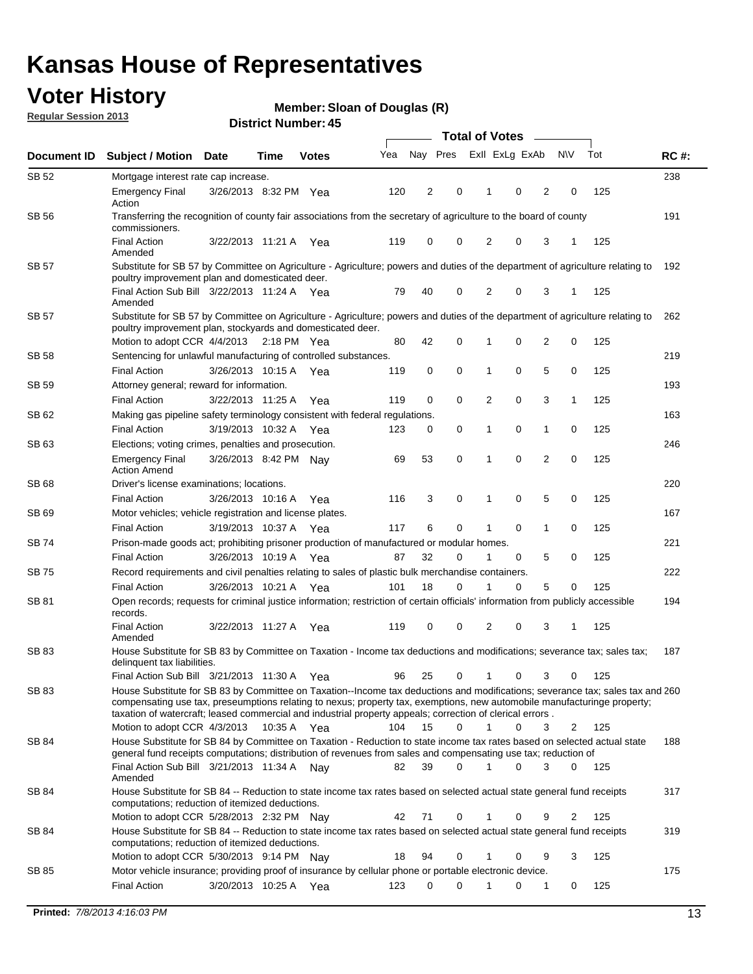### **Voter History**

**Member: Sloan of Douglas (R)** 

**Regular Session 2013**

|              |                                                                                                                                                                                                                                                                                                                                                                         |                                                                                                                   | <b>Total of Votes</b> |              |     |          |             |                |   |                |             |     |             |
|--------------|-------------------------------------------------------------------------------------------------------------------------------------------------------------------------------------------------------------------------------------------------------------------------------------------------------------------------------------------------------------------------|-------------------------------------------------------------------------------------------------------------------|-----------------------|--------------|-----|----------|-------------|----------------|---|----------------|-------------|-----|-------------|
| Document ID  | <b>Subject / Motion Date</b>                                                                                                                                                                                                                                                                                                                                            |                                                                                                                   | Time                  | <b>Votes</b> | Yea | Nay Pres |             | Exll ExLg ExAb |   |                | <b>NV</b>   | Tot | <b>RC#:</b> |
| SB 52        | Mortgage interest rate cap increase.                                                                                                                                                                                                                                                                                                                                    |                                                                                                                   |                       |              |     |          |             |                |   |                |             |     | 238         |
|              | <b>Emergency Final</b><br>Action                                                                                                                                                                                                                                                                                                                                        | 3/26/2013 8:32 PM Yea                                                                                             |                       |              | 120 | 2        | 0           |                | 0 | 2              | 0           | 125 |             |
| SB 56        | commissioners.                                                                                                                                                                                                                                                                                                                                                          | Transferring the recognition of county fair associations from the secretary of agriculture to the board of county |                       |              |     |          |             |                |   |                |             |     |             |
|              | <b>Final Action</b><br>Amended                                                                                                                                                                                                                                                                                                                                          |                                                                                                                   | 3/22/2013 11:21 A     | Yea          | 119 | 0        | 0           | 2              | 0 | 3              | 1           | 125 |             |
| SB 57        | Substitute for SB 57 by Committee on Agriculture - Agriculture; powers and duties of the department of agriculture relating to<br>poultry improvement plan and domesticated deer.                                                                                                                                                                                       |                                                                                                                   |                       |              |     |          |             |                |   |                |             |     | 192         |
|              | Final Action Sub Bill 3/22/2013 11:24 A Yea<br>Amended                                                                                                                                                                                                                                                                                                                  |                                                                                                                   |                       |              | 79  | 40       | 0           | 2              | 0 | 3              | 1           | 125 |             |
| SB 57        | Substitute for SB 57 by Committee on Agriculture - Agriculture; powers and duties of the department of agriculture relating to<br>poultry improvement plan, stockyards and domesticated deer.<br>Motion to adopt CCR 4/4/2013 2:18 PM Yea                                                                                                                               |                                                                                                                   |                       |              | 80  | 42       | 0           | 1              | 0 | 2              | 0           | 125 | 262         |
| SB 58        | Sentencing for unlawful manufacturing of controlled substances.                                                                                                                                                                                                                                                                                                         |                                                                                                                   |                       |              |     |          |             |                |   |                |             |     | 219         |
|              | <b>Final Action</b>                                                                                                                                                                                                                                                                                                                                                     |                                                                                                                   | 3/26/2013 10:15 A     | Yea          | 119 | 0        | 0           | 1              | 0 | 5              | 0           | 125 |             |
| <b>SB 59</b> | Attorney general; reward for information.                                                                                                                                                                                                                                                                                                                               |                                                                                                                   |                       |              |     |          |             |                |   |                |             |     | 193         |
|              | <b>Final Action</b>                                                                                                                                                                                                                                                                                                                                                     | 3/22/2013 11:25 A                                                                                                 |                       | Yea          | 119 | 0        | 0           | 2              | 0 | 3              | 1           | 125 |             |
| SB 62        | Making gas pipeline safety terminology consistent with federal regulations.                                                                                                                                                                                                                                                                                             |                                                                                                                   |                       |              |     |          |             |                |   |                |             |     | 163         |
|              | <b>Final Action</b>                                                                                                                                                                                                                                                                                                                                                     | 3/19/2013 10:32 A                                                                                                 |                       | Yea          | 123 | 0        | 0           | 1              | 0 | 1              | 0           | 125 |             |
| SB 63        | Elections; voting crimes, penalties and prosecution.                                                                                                                                                                                                                                                                                                                    |                                                                                                                   |                       |              |     |          |             |                |   |                |             |     | 246         |
|              | <b>Emergency Final</b><br><b>Action Amend</b>                                                                                                                                                                                                                                                                                                                           | 3/26/2013 8:42 PM Nay                                                                                             |                       |              | 69  | 53       | $\mathbf 0$ | 1              | 0 | $\overline{2}$ | $\mathbf 0$ | 125 |             |
| SB 68        | Driver's license examinations; locations.                                                                                                                                                                                                                                                                                                                               |                                                                                                                   |                       |              |     |          |             |                |   |                |             |     | 220         |
|              | <b>Final Action</b>                                                                                                                                                                                                                                                                                                                                                     | 3/26/2013 10:16 A                                                                                                 |                       | Yea          | 116 | 3        | 0           | 1              | 0 | 5              | 0           | 125 |             |
| SB 69        | Motor vehicles; vehicle registration and license plates.                                                                                                                                                                                                                                                                                                                |                                                                                                                   |                       |              |     |          |             |                |   |                |             |     | 167         |
|              | <b>Final Action</b>                                                                                                                                                                                                                                                                                                                                                     | 3/19/2013 10:37 A                                                                                                 |                       | Yea          | 117 | 6        | 0           | 1              | 0 | $\mathbf{1}$   | 0           | 125 |             |
| SB 74        | Prison-made goods act; prohibiting prisoner production of manufactured or modular homes.                                                                                                                                                                                                                                                                                |                                                                                                                   |                       |              |     |          |             |                |   |                |             |     | 221         |
|              | <b>Final Action</b>                                                                                                                                                                                                                                                                                                                                                     | 3/26/2013 10:19 A                                                                                                 |                       | Yea          | 87  | 32       | 0           | 1              | 0 | 5              | 0           | 125 |             |
| SB 75        | Record requirements and civil penalties relating to sales of plastic bulk merchandise containers.                                                                                                                                                                                                                                                                       |                                                                                                                   |                       |              |     |          |             |                |   |                |             |     | 222         |
|              | <b>Final Action</b>                                                                                                                                                                                                                                                                                                                                                     | 3/26/2013 10:21 A                                                                                                 |                       | Yea          | 101 | 18       | 0           | 1              | 0 | 5              | 0           | 125 |             |
| SB 81        | Open records; requests for criminal justice information; restriction of certain officials' information from publicly accessible<br>records.                                                                                                                                                                                                                             |                                                                                                                   |                       |              |     |          |             |                |   |                |             |     | 194         |
|              | <b>Final Action</b><br>Amended                                                                                                                                                                                                                                                                                                                                          | 3/22/2013 11:27 A                                                                                                 |                       | Yea          | 119 | 0        | 0           | 2              | 0 | 3              |             | 125 |             |
| <b>SB83</b>  | House Substitute for SB 83 by Committee on Taxation - Income tax deductions and modifications; severance tax; sales tax;<br>delinquent tax liabilities.                                                                                                                                                                                                                 |                                                                                                                   |                       |              |     |          |             |                |   |                |             |     | 187         |
|              | Final Action Sub Bill 3/21/2013 11:30 A Yea                                                                                                                                                                                                                                                                                                                             |                                                                                                                   |                       |              | 96  | 25       | 0           | 1              | 0 | 3              | 0           | 125 |             |
| SB 83        | House Substitute for SB 83 by Committee on Taxation--Income tax deductions and modifications; severance tax; sales tax and 260<br>compensating use tax, preseumptions relating to nexus; property tax, exemptions, new automobile manufacturinge property;<br>taxation of watercraft; leased commercial and industrial property appeals; correction of clerical errors. |                                                                                                                   |                       |              | 104 | 15       | 0           | $\mathbf{1}$   | 0 | 3              |             | 125 |             |
|              | Motion to adopt CCR 4/3/2013                                                                                                                                                                                                                                                                                                                                            |                                                                                                                   | 10:35 A Yea           |              |     |          |             |                |   |                | 2           |     |             |
| SB 84        | House Substitute for SB 84 by Committee on Taxation - Reduction to state income tax rates based on selected actual state<br>general fund receipts computations; distribution of revenues from sales and compensating use tax; reduction of<br>Final Action Sub Bill 3/21/2013 11:34 A Nay                                                                               |                                                                                                                   |                       |              | 82  | 39       | $\Omega$    |                | 0 | 3              | $\Omega$    | 125 | 188         |
| SB 84        | Amended                                                                                                                                                                                                                                                                                                                                                                 |                                                                                                                   |                       |              |     |          |             |                |   |                |             |     | 317         |
|              | House Substitute for SB 84 -- Reduction to state income tax rates based on selected actual state general fund receipts<br>computations; reduction of itemized deductions.<br>Motion to adopt CCR 5/28/2013 2:32 PM Nav                                                                                                                                                  |                                                                                                                   |                       |              | 42  | 71       | 0           |                | 0 | 9              | 2           | 125 |             |
|              |                                                                                                                                                                                                                                                                                                                                                                         |                                                                                                                   |                       |              |     |          |             |                |   |                |             |     |             |
| SB 84        | House Substitute for SB 84 -- Reduction to state income tax rates based on selected actual state general fund receipts<br>computations; reduction of itemized deductions.<br>Motion to adopt CCR 5/30/2013 9:14 PM Nay                                                                                                                                                  |                                                                                                                   |                       |              | 18  | 94       | 0           |                | 0 | 9              | 3           | 125 | 319         |
| SB 85        | Motor vehicle insurance; providing proof of insurance by cellular phone or portable electronic device.                                                                                                                                                                                                                                                                  |                                                                                                                   |                       |              |     |          |             |                |   |                |             |     | 175         |
|              | <b>Final Action</b>                                                                                                                                                                                                                                                                                                                                                     | 3/20/2013 10:25 A Yea                                                                                             |                       |              | 123 | 0        | $\Omega$    |                | 0 | 1              | 0           | 125 |             |
|              |                                                                                                                                                                                                                                                                                                                                                                         |                                                                                                                   |                       |              |     |          |             |                |   |                |             |     |             |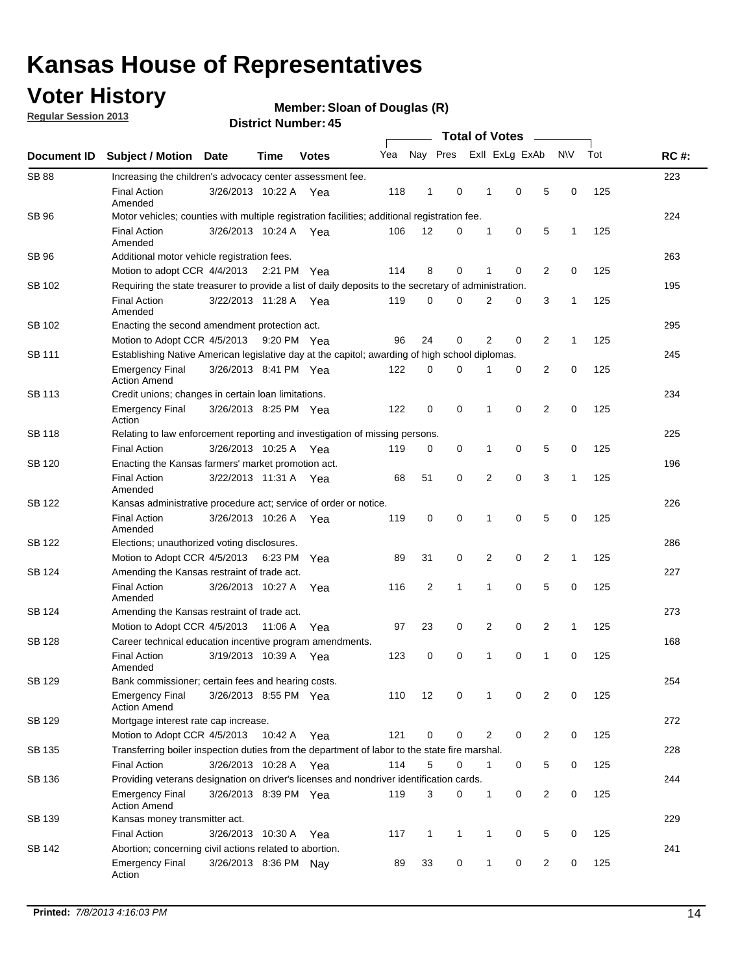### **Voter History**

**Member: Sloan of Douglas (R)** 

**Regular Session 2013**

|               |                                                                                                       |                                                      |             |              |     |                |              | <b>Total of Votes</b> |              |                |                |              |     |             |
|---------------|-------------------------------------------------------------------------------------------------------|------------------------------------------------------|-------------|--------------|-----|----------------|--------------|-----------------------|--------------|----------------|----------------|--------------|-----|-------------|
| Document ID   | Subject / Motion Date                                                                                 |                                                      | <b>Time</b> | <b>Votes</b> | Yea | Nay Pres       |              |                       |              | Exll ExLg ExAb |                | N\V          | Tot | <b>RC#:</b> |
| <b>SB 88</b>  | Increasing the children's advocacy center assessment fee.                                             |                                                      |             |              |     |                |              |                       |              |                |                |              |     | 223         |
|               | <b>Final Action</b><br>Amended                                                                        | 3/26/2013 10:22 A Yea                                |             |              | 118 | $\mathbf{1}$   | $\mathbf 0$  |                       | 1            | 0              | 5              | 0            | 125 |             |
| SB 96         | Motor vehicles; counties with multiple registration facilities; additional registration fee.          |                                                      |             |              |     |                |              |                       |              |                |                |              |     | 224         |
|               | <b>Final Action</b><br>Amended                                                                        | 3/26/2013 10:24 A Yea                                |             |              | 106 | 12             | 0            |                       | 1            | 0              | 5              | 1            | 125 |             |
| <b>SB 96</b>  | Additional motor vehicle registration fees.                                                           |                                                      |             |              |     |                |              |                       |              |                |                |              |     | 263         |
|               | Motion to adopt CCR 4/4/2013 2:21 PM Yea                                                              |                                                      |             |              | 114 | 8              | 0            |                       | 1            | 0              | 2              | 0            | 125 |             |
| SB 102        | Requiring the state treasurer to provide a list of daily deposits to the secretary of administration. |                                                      |             |              |     |                |              |                       |              |                |                |              |     | 195         |
|               | <b>Final Action</b><br>Amended                                                                        | 3/22/2013 11:28 A Yea                                |             |              | 119 | 0              | 0            |                       | 2            | 0              | 3              | 1            | 125 |             |
| SB 102        |                                                                                                       | Enacting the second amendment protection act.<br>295 |             |              |     |                |              |                       |              |                |                |              |     |             |
|               | Motion to Adopt CCR 4/5/2013 9:20 PM Yea                                                              |                                                      |             |              | 96  | 24             | 0            |                       | 2            | 0              | 2              | 1            | 125 |             |
| <b>SB 111</b> | Establishing Native American legislative day at the capitol; awarding of high school diplomas.        |                                                      |             |              |     |                |              |                       |              |                |                |              |     | 245         |
|               | Emergency Final<br><b>Action Amend</b>                                                                | 3/26/2013 8:41 PM Yea                                |             |              | 122 | $\mathbf 0$    | 0            |                       | 1            | 0              | 2              | 0            | 125 |             |
| SB 113        | Credit unions; changes in certain loan limitations.                                                   |                                                      |             |              |     |                |              |                       |              |                |                |              |     | 234         |
|               | <b>Emergency Final</b><br>Action                                                                      | 3/26/2013 8:25 PM Yea                                |             |              | 122 | $\mathbf 0$    | 0            |                       | 1            | 0              | $\overline{2}$ | 0            | 125 |             |
| SB 118        | Relating to law enforcement reporting and investigation of missing persons.                           |                                                      |             |              |     |                |              |                       |              |                |                |              |     | 225         |
|               | <b>Final Action</b>                                                                                   | 3/26/2013 10:25 A Yea                                |             |              | 119 | 0              | 0            |                       | 1            | 0              | 5              | 0            | 125 |             |
| SB 120        | Enacting the Kansas farmers' market promotion act.                                                    |                                                      |             |              |     |                |              |                       |              |                |                |              |     | 196         |
|               | <b>Final Action</b><br>Amended                                                                        | 3/22/2013 11:31 A Yea                                |             |              | 68  | 51             | $\mathbf 0$  |                       | 2            | $\mathbf 0$    | 3              | 1            | 125 |             |
| SB 122        | Kansas administrative procedure act; service of order or notice.                                      |                                                      |             |              |     |                |              |                       |              |                |                |              |     | 226         |
|               | <b>Final Action</b><br>Amended                                                                        | 3/26/2013 10:26 A Yea                                |             |              | 119 | 0              | 0            |                       | 1            | $\Omega$       | 5              | 0            | 125 |             |
| SB 122        | Elections; unauthorized voting disclosures.                                                           |                                                      |             |              |     |                |              |                       |              |                |                | 286          |     |             |
|               | Motion to Adopt CCR 4/5/2013                                                                          |                                                      | 6:23 PM Yea |              | 89  | 31             | 0            |                       | 2            | 0              | 2              | 1            | 125 |             |
| SB 124        | Amending the Kansas restraint of trade act.                                                           |                                                      |             |              |     |                |              |                       |              |                |                |              |     | 227         |
|               | <b>Final Action</b><br>Amended                                                                        | 3/26/2013 10:27 A                                    |             | Yea          | 116 | $\overline{2}$ | 1            |                       | 1            | $\mathbf 0$    | 5              | $\mathbf 0$  | 125 |             |
| SB 124        | Amending the Kansas restraint of trade act.                                                           |                                                      |             |              |     |                |              |                       |              |                |                |              |     | 273         |
|               | Motion to Adopt CCR 4/5/2013                                                                          |                                                      | 11:06 A     | Yea          | 97  | 23             | 0            |                       | 2            | 0              | 2              | $\mathbf{1}$ | 125 |             |
| SB 128        | Career technical education incentive program amendments.                                              |                                                      |             |              |     |                |              |                       |              |                |                |              |     | 168         |
|               | <b>Final Action</b><br>Amended                                                                        | 3/19/2013 10:39 A                                    |             | Yea          | 123 | 0              | 0            |                       | 1            | 0              | 1              | 0            | 125 |             |
| SB 129        | Bank commissioner; certain fees and hearing costs.                                                    |                                                      |             |              |     |                |              |                       |              |                |                |              |     | 254         |
|               | <b>Emergency Final</b><br><b>Action Amend</b>                                                         | 3/26/2013 8:55 PM Yea                                |             |              | 110 | 12             | 0            |                       | 1            | 0              | 2              | 0            | 125 |             |
| SB 129        | Mortgage interest rate cap increase.                                                                  |                                                      |             |              |     |                |              |                       |              |                |                |              |     | 272         |
|               | Motion to Adopt CCR 4/5/2013                                                                          |                                                      | 10:42 A Yea |              | 121 | 0              | 0            |                       | 2            | 0              | 2              | 0            | 125 |             |
| SB 135        | Transferring boiler inspection duties from the department of labor to the state fire marshal.         |                                                      |             |              |     |                |              |                       |              |                |                |              |     | 228         |
|               | <b>Final Action</b>                                                                                   | 3/26/2013 10:28 A Yea                                |             |              | 114 | 5              | 0            |                       | 1            | 0              | 5              | 0            | 125 |             |
| SB 136        | Providing veterans designation on driver's licenses and nondriver identification cards.               |                                                      |             |              |     |                |              |                       |              |                |                |              |     | 244         |
|               | <b>Emergency Final</b><br><b>Action Amend</b>                                                         | 3/26/2013 8:39 PM Yea                                |             |              | 119 | 3              | 0            |                       | 1            | 0              | $\overline{2}$ | 0            | 125 |             |
| SB 139        | Kansas money transmitter act.                                                                         |                                                      |             |              |     |                |              |                       |              |                |                |              |     | 229         |
|               | <b>Final Action</b>                                                                                   | 3/26/2013 10:30 A Yea                                |             |              | 117 | $\mathbf{1}$   | $\mathbf{1}$ |                       | 1            | $\mathbf 0$    | 5              | 0            | 125 |             |
| SB 142        | Abortion; concerning civil actions related to abortion.                                               |                                                      |             |              |     |                |              |                       |              |                |                |              |     | 241         |
|               | <b>Emergency Final</b><br>Action                                                                      | 3/26/2013 8:36 PM Nay                                |             |              | 89  | 33             | 0            |                       | $\mathbf{1}$ | 0              | 2              | 0            | 125 |             |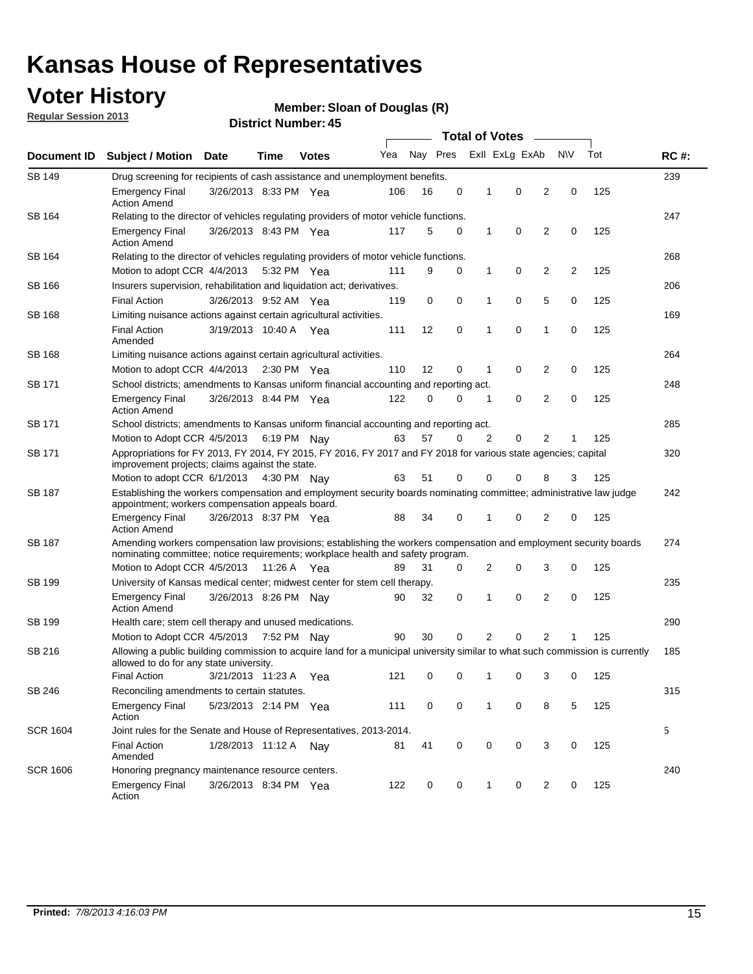### **Voter History**

**Member: Sloan of Douglas (R)** 

**Regular Session 2013**

|                 |                                                                                                                                                                                                       |                                                                                      |             |              |     |          |   | <b>Total of Votes</b><br>$\sim$ |                |                |           |     |             |
|-----------------|-------------------------------------------------------------------------------------------------------------------------------------------------------------------------------------------------------|--------------------------------------------------------------------------------------|-------------|--------------|-----|----------|---|---------------------------------|----------------|----------------|-----------|-----|-------------|
| Document ID     | <b>Subject / Motion Date</b>                                                                                                                                                                          |                                                                                      | Time        | <b>Votes</b> | Yea | Nay Pres |   |                                 | Exll ExLg ExAb |                | <b>NV</b> | Tot | <b>RC#:</b> |
| SB 149          | Drug screening for recipients of cash assistance and unemployment benefits.                                                                                                                           |                                                                                      |             |              |     |          |   |                                 |                |                |           |     | 239         |
|                 | <b>Emergency Final</b><br><b>Action Amend</b>                                                                                                                                                         | 3/26/2013 8:33 PM Yea                                                                |             |              | 106 | 16       | 0 | 1                               | 0              | 2              | 0         | 125 |             |
| SB 164          | Relating to the director of vehicles regulating providers of motor vehicle functions.                                                                                                                 |                                                                                      |             |              |     |          |   |                                 |                |                |           |     | 247         |
|                 | <b>Emergency Final</b><br><b>Action Amend</b>                                                                                                                                                         | 3/26/2013 8:43 PM Yea                                                                |             |              | 117 | 5        | 0 | 1                               | 0              | 2              | 0         | 125 |             |
| SB 164          | Relating to the director of vehicles regulating providers of motor vehicle functions.                                                                                                                 |                                                                                      |             |              |     |          |   |                                 |                |                |           |     | 268         |
|                 | Motion to adopt CCR 4/4/2013                                                                                                                                                                          |                                                                                      | 5:32 PM Yea |              | 111 | 9        | 0 | 1                               | 0              | 2              | 2         | 125 |             |
| SB 166          |                                                                                                                                                                                                       | Insurers supervision, rehabilitation and liquidation act; derivatives.               |             |              |     |          |   |                                 |                |                |           | 206 |             |
|                 | <b>Final Action</b>                                                                                                                                                                                   | 3/26/2013 9:52 AM Yea                                                                |             |              | 119 | 0        | 0 | 1                               | 0              | 5              | 0         | 125 |             |
| SB 168          | Limiting nuisance actions against certain agricultural activities.                                                                                                                                    |                                                                                      |             |              |     |          |   |                                 |                |                |           |     | 169         |
|                 | <b>Final Action</b><br>Amended                                                                                                                                                                        | 3/19/2013 10:40 A Yea                                                                |             |              | 111 | 12       | 0 | 1                               | 0              | 1              | 0         | 125 |             |
| SB 168          | Limiting nuisance actions against certain agricultural activities.                                                                                                                                    |                                                                                      |             |              |     |          |   |                                 |                |                |           |     | 264         |
|                 | Motion to adopt CCR 4/4/2013                                                                                                                                                                          |                                                                                      |             | 2:30 PM Yea  | 110 | 12       | 0 | 1                               | 0              | 2              | 0         | 125 |             |
| <b>SB 171</b>   | School districts; amendments to Kansas uniform financial accounting and reporting act.                                                                                                                |                                                                                      |             |              |     |          |   |                                 |                |                |           |     | 248         |
|                 | <b>Emergency Final</b><br><b>Action Amend</b>                                                                                                                                                         | 3/26/2013 8:44 PM Yea                                                                |             |              | 122 | 0        | 0 | 1                               | 0              | 2              | 0         | 125 |             |
| SB 171          | School districts; amendments to Kansas uniform financial accounting and reporting act.                                                                                                                |                                                                                      |             |              |     |          |   |                                 |                |                |           | 285 |             |
|                 |                                                                                                                                                                                                       | Motion to Adopt CCR 4/5/2013 6:19 PM Nay<br>57<br>2<br>0<br>2<br>125<br>63<br>0<br>1 |             |              |     |          |   |                                 |                |                |           |     |             |
| SB 171          | Appropriations for FY 2013, FY 2014, FY 2015, FY 2016, FY 2017 and FY 2018 for various state agencies; capital<br>improvement projects; claims against the state.                                     |                                                                                      |             |              |     |          |   |                                 |                |                | 320       |     |             |
|                 | Motion to adopt CCR 6/1/2013 4:30 PM Nay                                                                                                                                                              |                                                                                      |             |              | 63  | 51       | 0 | 0                               | 0              | 8              | 3         | 125 |             |
| SB 187          | Establishing the workers compensation and employment security boards nominating committee; administrative law judge<br>appointment; workers compensation appeals board.                               |                                                                                      |             |              |     |          |   |                                 |                |                |           | 242 |             |
|                 | <b>Emergency Final</b><br><b>Action Amend</b>                                                                                                                                                         | 3/26/2013 8:37 PM Yea                                                                |             |              | 88  | 34       | 0 | 1                               | 0              | 2              | 0         | 125 |             |
| SB 187          | Amending workers compensation law provisions; establishing the workers compensation and employment security boards<br>nominating committee; notice requirements; workplace health and safety program. |                                                                                      |             |              |     |          |   |                                 |                |                |           | 274 |             |
|                 | Motion to Adopt CCR 4/5/2013 11:26 A Yea                                                                                                                                                              |                                                                                      |             |              | 89  | 31       | 0 | 2                               | 0              | 3              | 0         | 125 |             |
| SB 199          | University of Kansas medical center; midwest center for stem cell therapy.                                                                                                                            |                                                                                      |             |              |     |          |   |                                 |                |                |           |     | 235         |
|                 | <b>Emergency Final</b><br><b>Action Amend</b>                                                                                                                                                         | 3/26/2013 8:26 PM Nav                                                                |             |              | 90  | 32       | 0 | 1                               | 0              | 2              | 0         | 125 |             |
| SB 199          | Health care; stem cell therapy and unused medications.                                                                                                                                                |                                                                                      |             |              |     |          |   |                                 |                |                |           |     | 290         |
|                 | Motion to Adopt CCR 4/5/2013                                                                                                                                                                          |                                                                                      | 7:52 PM Nay |              | 90  | 30       | 0 | 2                               | 0              | $\overline{2}$ | 1         | 125 |             |
| SB 216          | Allowing a public building commission to acquire land for a municipal university similar to what such commission is currently<br>allowed to do for any state university.                              |                                                                                      |             |              |     |          |   |                                 |                |                |           |     | 185         |
|                 | <b>Final Action</b>                                                                                                                                                                                   | 3/21/2013 11:23 A Yea                                                                |             |              | 121 | 0        | 0 | 1                               | 0              | 3              | 0         | 125 |             |
| SB 246          | Reconciling amendments to certain statutes.                                                                                                                                                           |                                                                                      |             |              |     |          |   |                                 |                |                |           |     | 315         |
|                 | <b>Emergency Final</b><br>Action                                                                                                                                                                      | 5/23/2013 2:14 PM Yea                                                                |             |              | 111 | 0        | 0 | 1                               | 0              | 8              | 5         | 125 |             |
| <b>SCR 1604</b> | Joint rules for the Senate and House of Representatives, 2013-2014.                                                                                                                                   |                                                                                      |             |              |     |          |   |                                 |                |                |           |     | 5           |
|                 | <b>Final Action</b><br>Amended                                                                                                                                                                        | 1/28/2013 11:12 A Nay                                                                |             |              | 81  | 41       | 0 | 0                               | 0              | 3              | 0         | 125 |             |
| <b>SCR 1606</b> | Honoring pregnancy maintenance resource centers.                                                                                                                                                      |                                                                                      |             |              |     |          |   |                                 |                |                |           |     | 240         |
|                 | <b>Emergency Final</b><br>Action                                                                                                                                                                      | 3/26/2013 8:34 PM Yea                                                                |             |              | 122 | 0        | 0 | 1                               | 0              | 2              | 0         | 125 |             |